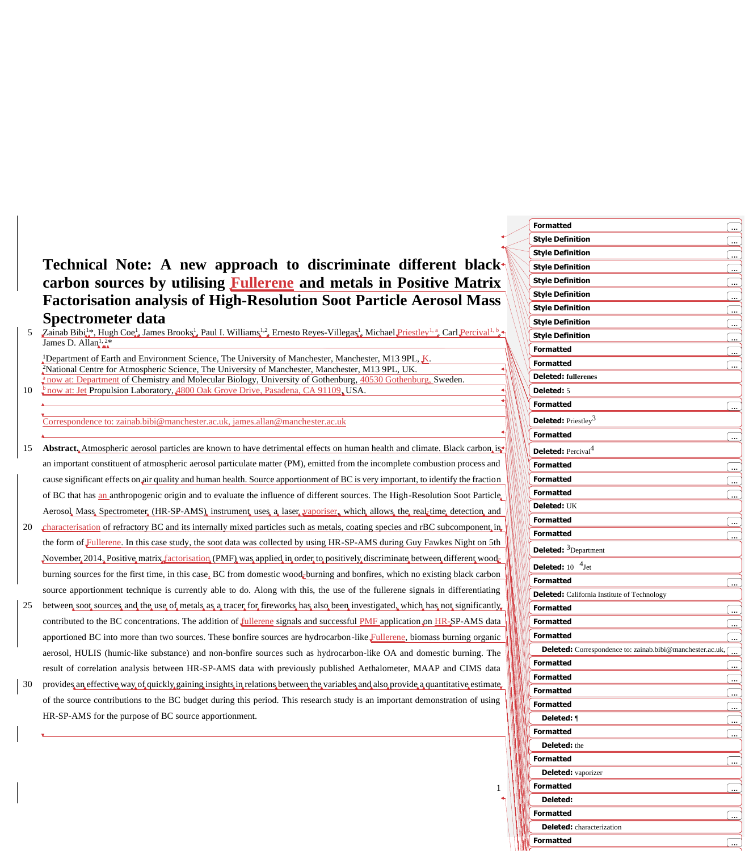# **Technical Note: A new approach to discriminate different black carbon sources by utilising Fullerene and metals in Positive Matrix Factorisation analysis of High-Resolution Soot Particle Aerosol Mass Spectrometer data**

 $\mathbb{Z}$ ainab Bibi<sup>1</sup>\*, Hugh Coe<sup>1</sup>, James Brooks<sup>1</sup>, Paul I. Williams<sup>1,2</sup>, Ernesto Reyes-Villegas<sup>1</sup>, Michael Priestley<sup>1, a</sup>, Carl Percival<sup>1, b</sup> James D. Allan $^{1,2*}$ 

Department of Earth and Environment Science, The University of Manchester, Manchester, M13 9PL,  $K$ . National Centre for Atmospheric Science, The University of Manchester, Manchester, M13 9PL, UK. <sup>a</sup>now at: Department of Chemistry and Molecular Biology, University of Gothenburg, 40530 Gothenburg, Sweden. **b**<sub>n</sub>ow at: Jet Propulsion Laboratory, 4800 Oak Grove Drive, Pasadena, CA 91109, USA.

Correspondence to: zainab.bibi@manchester.ac.uk, james.allan@manchester.ac.uk

- 15 **Abstract.** Atmospheric aerosol particles are known to have detrimental effects on human health and climate. Black carbon, is an important constituent of atmospheric aerosol particulate matter (PM), emitted from the incomplete combustion process and cause significant effects on air quality and human health. Source apportionment of BC is very important, to identify the fraction of BC that has an anthropogenic origin and to evaluate the influence of different sources. The High-Resolution Soot Particle Aerosol, Mass, Spectrometer, (HR-SP-AMS), instrument, uses a laser vaporiser, which allows the real-time detection and
- 20 characterisation of refractory BC and its internally mixed particles such as metals, coating species and rBC subcomponent, in the form of Fullerene. In this case study, the soot data was collected by using HR-SP-AMS during Guy Fawkes Night on 5th November 2014, Positive matrix factorisation (PMF) was applied in order to positively discriminate between different woodburning sources for the first time, in this case, BC from domestic wood<sub>E</sub>burning and bonfires, which no existing black carbon source apportionment technique is currently able to do. Along with this, the use of the fullerene signals in differentiating
- 25 between soot sources and the use of metals as a tracer for fireworks has also been investigated, which has not significantly contributed to the BC concentrations. The addition of *fullerene* signals and successful PMF application on HR-SP-AMS data apportioned BC into more than two sources. These bonfire sources are hydrocarbon-like Fullerene, biomass burning organic aerosol, HULIS (humic-like substance) and non-bonfire sources such as hydrocarbon-like OA and domestic burning. The result of correlation analysis between HR-SP-AMS data with previously published Aethalometer, MAAP and CIMS data
- 30 provides an effective way of quickly gaining insights in relations between the variables and also provide a quantitative estimate of the source contributions to the BC budget during this period. This research study is an important demonstration of using HR-SP-AMS for the purpose of BC source apportionment.

| <b>Formatted</b>                                          | <u>( </u>                |
|-----------------------------------------------------------|--------------------------|
| <b>Style Definition</b>                                   | <u></u>                  |
| <b>Style Definition</b>                                   |                          |
| <b>Style Definition</b>                                   | ( <u></u>                |
| <b>Style Definition</b>                                   |                          |
| <b>Style Definition</b>                                   | ے)                       |
| <b>Style Definition</b>                                   | $\ddot{\phantom{1}}$     |
| <b>Style Definition</b>                                   |                          |
| <b>Style Definition</b>                                   | <u>سا</u>                |
| <b>Formatted</b>                                          |                          |
| <b>Formatted</b>                                          | ىيى)                     |
| <b>Deleted:</b> fullerenes                                |                          |
| Deleted: 5                                                |                          |
| <b>Formatted</b>                                          |                          |
|                                                           |                          |
| <b>Deleted:</b> Priestley <sup>3</sup>                    |                          |
| <b>Formatted</b>                                          | $\ddotsc$                |
| <b>Deleted:</b> Percival <sup>4</sup>                     |                          |
| <b>Formatted</b>                                          | <u>(</u>                 |
| <b>Formatted</b>                                          | <u>(</u>                 |
| <b>Formatted</b>                                          |                          |
| Deleted: UK                                               |                          |
| <b>Formatted</b>                                          | ( <u></u>                |
| <b>Formatted</b>                                          |                          |
| <b>Deleted:</b> <sup>3</sup> Department                   |                          |
| $4_{\text{Jet}}$<br>Deleted: 10                           |                          |
| <b>Formatted</b>                                          | <u>l </u>                |
| <b>Deleted:</b> California Institute of Technology        |                          |
| <b>Formatted</b>                                          |                          |
| <b>Formatted</b>                                          |                          |
| <b>Formatted</b>                                          |                          |
| Deleted: Correspondence to: zainab.bibi@manchester.ac.uk, | $\ddot{\phantom{a}}$     |
| <b>Formatted</b>                                          |                          |
| <b>Formatted</b>                                          | سيا                      |
| <b>Formatted</b>                                          | ۔۔ ا                     |
| <b>Formatted</b>                                          |                          |
| Deleted: 1                                                |                          |
| <b>Formatted</b>                                          |                          |
| Deleted: the                                              |                          |
| <b>Formatted</b>                                          | 〔…                       |
| <b>Deleted:</b> vaporizer                                 |                          |
| <b>Formatted</b>                                          |                          |
| Deleted:                                                  |                          |
| <b>Formatted</b>                                          |                          |
| <b>Deleted:</b> characterization                          |                          |
| <b>Formatted</b>                                          |                          |
|                                                           | $\overline{\phantom{a}}$ |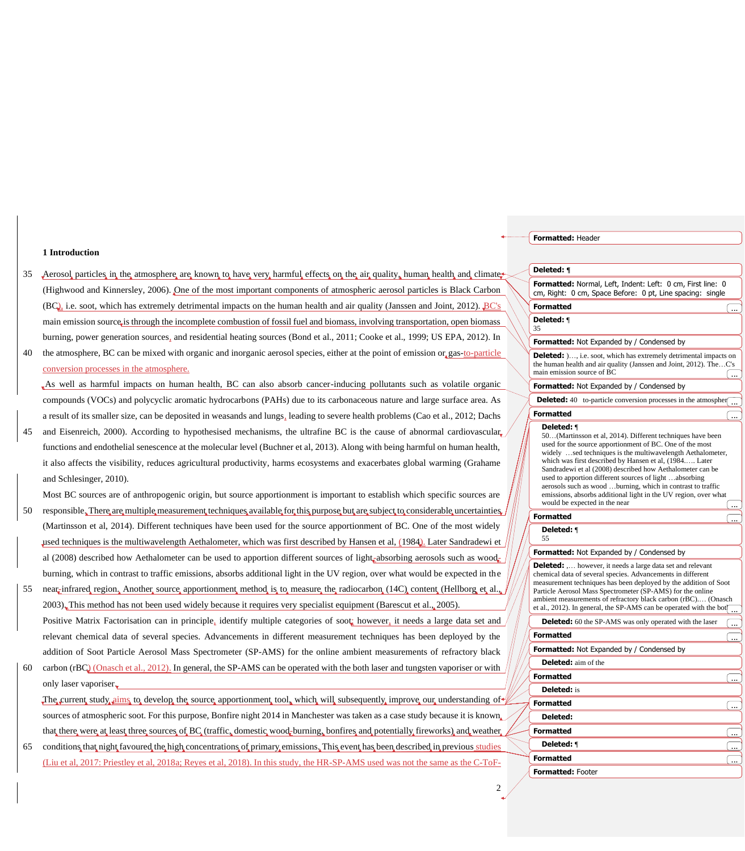#### **1 Introduction**

- 35 Aerosol particles in the atmosphere are known to have very harmful effects on the air quality, human health and climate (Highwood and Kinnersley, 2006). One of the most important components of atmospheric aerosol particles is Black Carbon (BC), i.e. soot, which has extremely detrimental impacts on the human health and air quality (Janssen and Joint, 2012). BC's main emission source is through the incomplete combustion of fossil fuel and biomass, involving transportation, open biomass burning, power generation sources, and residential heating sources (Bond et al., 2011; Cooke et al., 1999; US EPA, 2012). In
- 40 the atmosphere, BC can be mixed with organic and inorganic aerosol species, either at the point of emission or gas-to-particle conversion processes in the atmosphere.

As well as harmful impacts on human health, BC can also absorb cancer-inducing pollutants such as volatile organic compounds (VOCs) and polycyclic aromatic hydrocarbons (PAHs) due to its carbonaceous nature and large surface area. As a result of its smaller size, can be deposited in weasands and lungs, leading to severe health problems (Cao et al., 2012; Dachs

45 and Eisenreich, 2000). According to hypothesised mechanisms, the ultrafine BC is the cause of abnormal cardiovascular functions and endothelial senescence at the molecular level (Buchner et al, 2013). Along with being harmful on human health, it also affects the visibility, reduces agricultural productivity, harms ecosystems and exacerbates global warming (Grahame and Schlesinger, 2010).

Most BC sources are of anthropogenic origin, but source apportionment is important to establish which specific sources are

- 50 responsible. There are multiple measurement techniques available for this purpose but are subject to considerable uncertainties (Martinsson et al, 2014). Different techniques have been used for the source apportionment of BC. One of the most widely used techniques is the multiwavelength Aethalometer, which was first described by Hansen et al, (1984). Later Sandradewi et al (2008) described how Aethalometer can be used to apportion different sources of light-absorbing aerosols such as woodburning, which in contrast to traffic emissions, absorbs additional light in the UV region, over what would be expected in the
- 55 near-infrared region. Another source apportionment method is to measure the radiocarbon (14C) content (Hellborg et al. 2003). This method has not been used widely because it requires very specialist equipment (Barescut et al., 2005). Positive Matrix Factorisation can in principle, identify multiple categories of soot; however, it needs a large data set and relevant chemical data of several species. Advancements in different measurement techniques has been deployed by the addition of Soot Particle Aerosol Mass Spectrometer (SP-AMS) for the online ambient measurements of refractory black
- 60 carbon (rBC) (Onasch et al., 2012). In general, the SP-AMS can be operated with the both laser and tungsten vaporiser or with only laser vaporiser.

The current study aims to develop the source apportionment tool, which will subsequently improve our understanding of sources of atmospheric soot. For this purpose, Bonfire night 2014 in Manchester was taken as a case study because it is known that there, were at least three, sources of BC (traffic, domestic, wood-burning, bonfires and potentially fireworks) and weather

65 conditions that night favoured the high concentrations of primary emissions. This event has been described in previous studies (Liu et al, 2017: Priestley et al, 2018a; Reyes et al, 2018). In this study, the HR-SP-AMS used was not the same as the C-ToF- **Formatted:** Header

#### **Deleted: ¶**

**Formatted:** Normal, Left, Indent: Left: 0 cm, First line: 0 cm, Right: 0 cm, Space Before: 0 pt, Line spacing: single

#### **Formatted** ...

**Deleted:** ¶ 35

#### **Formatted:** Not Expanded by / Condensed by

**Deleted: )....** i.e. soot, which has extremely detrimental impacts on the human health and air quality (Janssen and Joint, 2012). The…C's main emission source of BC  $\sqrt{2\pi}$ 

#### **Formatted:** Not Expanded by / Condensed by

**Deleted:** 40 to-particle conversion processes in the atmospher **Formatted** 

## **Deleted:** ¶

50…(Martinsson et al, 2014). Different techniques have been used for the source apportionment of BC. One of the most widely ...sed techniques is the multiwavelength Aethalometer, which was first described by Hansen et al, (1984.…. Later Sandradewi et al (2008) described how Aethalometer can be used to apportion different sources of light …absorbing aerosols such as wood …burning, which in contrast to traffic emissions, absorbs additional light in the UV region, over what would be expected in the near

...

#### **Formatted** ...

**Deleted:** ¶ 55

#### **Formatted:** Not Expanded by / Condensed by

**Deleted:** ,… however, it needs a large data set and relevant chemical data of several species. Advancements in different measurement techniques has been deployed by the addition of Soot Particle Aerosol Mass Spectrometer (SP-AMS) for the online ambient measurements of refractory black carbon (rBC).… (Onasch et al., 2012). In general, the SP-AMS can be operated with the bot $\boxed{...}$ 

| <b>Deleted:</b> 60 the SP-AMS was only operated with the laser |  |
|----------------------------------------------------------------|--|
| <b>Formatted</b>                                               |  |
| Formatted: Not Expanded by / Condensed by                      |  |
| <b>Deleted:</b> aim of the                                     |  |
| <b>Formatted</b>                                               |  |
| <b>Deleted:</b> is                                             |  |
| <b>Formatted</b>                                               |  |
| Deleted:                                                       |  |
| <b>Formatted</b>                                               |  |
| Deleted: ¶                                                     |  |
| <b>Formatted</b>                                               |  |
| <b>Formatted: Footer</b>                                       |  |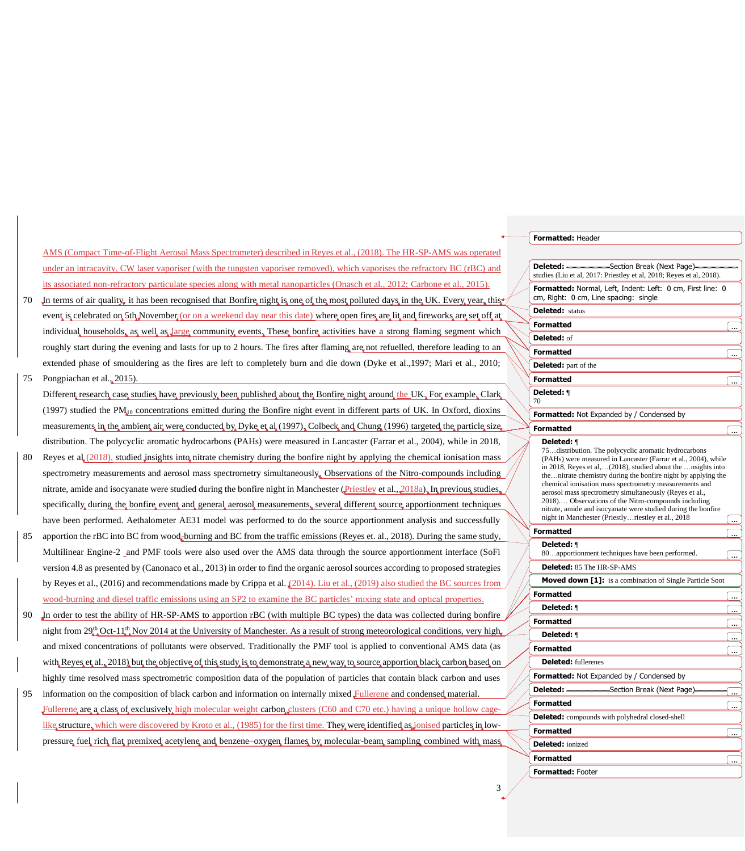|    |    |                                                                                                                                                                                                                                                                  | Formatted: Header                                                                                                             |     |
|----|----|------------------------------------------------------------------------------------------------------------------------------------------------------------------------------------------------------------------------------------------------------------------|-------------------------------------------------------------------------------------------------------------------------------|-----|
|    |    | AMS (Compact Time-of-Flight Aerosol Mass Spectrometer) described in Reyes et al., (2018). The HR-SP-AMS was operated                                                                                                                                             |                                                                                                                               |     |
|    |    | under an intracavity, CW laser vaporiser (with the tungsten vaporiser removed), which vaporises the refractory BC (rBC) and                                                                                                                                      | Section Break (Next Page)<br>studies (Liu et al, 2017: Priestley et al, 2018; Reyes et al, 2018).                             |     |
|    | 70 | its associated non-refractory particulate species along with metal nanoparticles (Onasch et al., 2012; Carbone et al., 2015).<br>In terms of air quality, it has been recognised that Bonfire night is one of the most polluted days in the UK. Every year, this | Formatted: Normal, Left, Indent: Left: 0 cm, First line: 0<br>cm, Right: 0 cm, Line spacing: single                           |     |
|    |    | event is celebrated on 5th November (or on a weekend day near this date) where open fires are lit and fireworks are set off at                                                                                                                                   | <b>Deleted:</b> status                                                                                                        |     |
|    |    |                                                                                                                                                                                                                                                                  | <b>Formatted</b>                                                                                                              |     |
|    |    | individual households, as well as large community events. These bonfire activities have a strong flaming segment which                                                                                                                                           | Deleted: of                                                                                                                   |     |
|    |    | roughly start during the evening and lasts for up to 2 hours. The fires after flaming are not refuelled, therefore leading to an                                                                                                                                 | <b>Formatted</b>                                                                                                              | l.  |
|    |    | extended phase of smouldering as the fires are left to completely burn and die down (Dyke et al., 1997; Mari et al., 2010;                                                                                                                                       | <b>Deleted:</b> part of the                                                                                                   |     |
| 75 |    | Pongpiachan et al., 2015).                                                                                                                                                                                                                                       | <b>Formatted</b>                                                                                                              | ĺ., |
|    |    | Different research case studies have previously been published about the Bonfire night around the UK, For example, Clark                                                                                                                                         | Deleted: <b>1</b>                                                                                                             |     |
|    |    | (1997) studied the $PM_{d0}$ concentrations emitted during the Bonfire night event in different parts of UK. In Oxford, dioxins                                                                                                                                  | Formatted: Not Expanded by / Condensed by                                                                                     |     |
|    |    | measurements, in the ambient air were conducted by Dyke et al (1997). Colbeck and Chung (1996) targeted the particle size                                                                                                                                        | <b>Formatted</b>                                                                                                              |     |
|    |    | distribution. The polycyclic aromatic hydrocarbons (PAHs) were measured in Lancaster (Farrar et al., 2004), while in 2018,                                                                                                                                       | Deleted: ¶                                                                                                                    |     |
|    |    | Reyes et al. $(2018)$ , studied insights into nitrate chemistry during the bonfire night by applying the chemical ionisation mass                                                                                                                                | 75. distribution. The polycyclic aromatic hydrocarbons<br>(PAHs) were measured in Lancaster (Farrar et al., 2004), while      |     |
|    |    | spectrometry measurements and aerosol mass spectrometry simultaneously. Observations of the Nitro-compounds including                                                                                                                                            | in 2018, Reyes et al,(2018), studied about the  nsights into<br>thenitrate chemistry during the bonfire night by applying the |     |
|    |    | nitrate, amide and isocyanate were studied during the bonfire night in Manchester (Priestley et al., 2018a), In previous studies,                                                                                                                                | chemical ionisation mass spectrometry measurements and<br>aerosol mass spectrometry simultaneously (Reyes et al.,             |     |
|    |    | specifically, during, the bonfire event, and, general, aerosol, measurements, several, different, source, apportionment techniques                                                                                                                               | 2018) Observations of the Nitro-compounds including<br>nitrate, amide and isocyanate were studied during the bonfire          |     |
|    |    | have been performed. Aethalometer AE31 model was performed to do the source apportionment analysis and successfully                                                                                                                                              | night in Manchester (Priestlyriestley et al., 2018                                                                            |     |
| 85 |    | apportion the rBC into BC from wood-burning and BC from the traffic emissions (Reyes et. al., 2018). During the same study,                                                                                                                                      | <b>Formatted</b>                                                                                                              | Γ., |
|    |    | Multilinear Engine-2 and PMF tools were also used over the AMS data through the source apportionment interface (SoFi                                                                                                                                             | Deleted: ¶<br>80apportionment techniques have been performed.                                                                 | Ξ.  |
|    |    | version 4.8 as presented by (Canonaco et al., 2013) in order to find the organic aerosol sources according to proposed strategies                                                                                                                                | Deleted: 85 The HR-SP-AMS                                                                                                     |     |
|    |    | by Reyes et al., (2016) and recommendations made by Crippa et al. (2014). Liu et al., (2019) also studied the BC sources from                                                                                                                                    | <b>Moved down [1]:</b> is a combination of Single Particle Soot                                                               |     |
|    |    | wood-burning and diesel traffic emissions using an SP2 to examine the BC particles' mixing state and optical properties.                                                                                                                                         | <b>Formatted</b>                                                                                                              |     |
| 90 |    | In order to test the ability of HR-SP-AMS to apportion rBC (with multiple BC types) the data was collected during bonfire                                                                                                                                        | Deleted: 1                                                                                                                    | ┌   |
|    |    | night from $29^{\text{th}}_{44}$ Oct-11 <sup>th</sup> <sub>4</sub> Nov 2014 at the University of Manchester. As a result of strong meteorological conditions, very high                                                                                          | <b>Formatted</b>                                                                                                              | Œ., |
|    |    |                                                                                                                                                                                                                                                                  | Deleted: ¶                                                                                                                    | l   |
|    |    | and mixed concentrations of pollutants were observed. Traditionally the PMF tool is applied to conventional AMS data (as                                                                                                                                         | <b>Formatted</b>                                                                                                              | Γ., |
|    |    | with Reves et al., 2018) but the objective of this study is to demonstrate a new way to source apportion black carbon based on                                                                                                                                   | <b>Deleted:</b> fullerenes                                                                                                    |     |
|    |    | highly time resolved mass spectrometric composition data of the population of particles that contain black carbon and uses                                                                                                                                       | <b>Formatted:</b> Not Expanded by / Condensed by<br>Deleted: -<br>Section Break (Next Page)                                   |     |
| 95 |    | information on the composition of black carbon and information on internally mixed Fullerene and condensed material.                                                                                                                                             | <b>Formatted</b>                                                                                                              |     |
|    |    | Fullerene are a class of exclusively high molecular weight carbon clusters (C60 and C70 etc.) having a unique hollow cage-                                                                                                                                       | <b>Deleted:</b> compounds with polyhedral closed-shell                                                                        | l   |
|    |    | like structure, which were discovered by Kroto et al., (1985) for the first time. They were identified as jonised particles in low-                                                                                                                              | <b>Formatted</b>                                                                                                              | ĺ., |
|    |    | pressure, fuel, rich, flat, premixed, acetylene, and, benzene-oxygen, flames, by, molecular-beam, sampling, combined with, mass                                                                                                                                  | <b>Deleted:</b> ionized                                                                                                       |     |
|    |    |                                                                                                                                                                                                                                                                  | <b>Formatted</b>                                                                                                              | Œ., |
|    |    |                                                                                                                                                                                                                                                                  | <b>Formatted: Footer</b>                                                                                                      |     |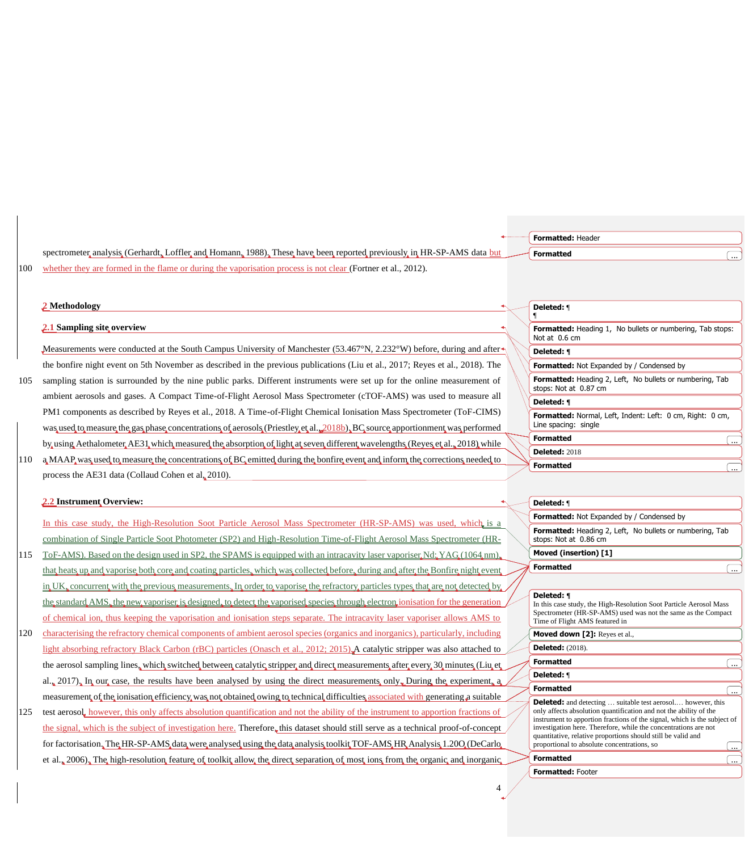|     |                                                                                                                                                                                                                                                                | Formatted: Header                                                                                                                                                                                                   |          |
|-----|----------------------------------------------------------------------------------------------------------------------------------------------------------------------------------------------------------------------------------------------------------------|---------------------------------------------------------------------------------------------------------------------------------------------------------------------------------------------------------------------|----------|
|     | spectrometer analysis (Gerhardt, Loffler and Homann, 1988), These have been reported previously in HR-SP-AMS data but                                                                                                                                          | <b>Formatted</b>                                                                                                                                                                                                    |          |
| 100 | whether they are formed in the flame or during the vaporisation process is not clear (Fortner et al., 2012).                                                                                                                                                   |                                                                                                                                                                                                                     |          |
|     | 2 Methodology                                                                                                                                                                                                                                                  | Deleted: 1                                                                                                                                                                                                          |          |
|     | 2.1 Sampling site overview                                                                                                                                                                                                                                     | Formatted: Heading 1, No bullets or numbering, Tab stops:<br>Not at 0.6 cm                                                                                                                                          |          |
|     | Measurements were conducted at the South Campus University of Manchester (53.467°N, 2.232°W) before, during and after                                                                                                                                          | Deleted: ¶                                                                                                                                                                                                          |          |
|     | the bonfire night event on 5th November as described in the previous publications (Liu et al., 2017; Reyes et al., 2018). The                                                                                                                                  | Formatted: Not Expanded by / Condensed by                                                                                                                                                                           |          |
| 105 | sampling station is surrounded by the nine public parks. Different instruments were set up for the online measurement of                                                                                                                                       | Formatted: Heading 2, Left, No bullets or numbering, Tab<br>stops: Not at 0.87 cm                                                                                                                                   |          |
|     | ambient aerosols and gases. A Compact Time-of-Flight Aerosol Mass Spectrometer (cTOF-AMS) was used to measure all                                                                                                                                              | Deleted: ¶                                                                                                                                                                                                          |          |
|     | PM1 components as described by Reyes et al., 2018. A Time-of-Flight Chemical Ionisation Mass Spectrometer (ToF-CIMS)<br>was used to measure the gas phase concentrations of aerosols (Priestley et al. $2018b$ ), BC source apportionment was performed        | Formatted: Normal, Left, Indent: Left: 0 cm, Right: 0 cm,<br>Line spacing: single                                                                                                                                   |          |
|     | by using Aethalometer AE31 which measured the absorption of light at seven different wavelengths (Reyes et al., 2018) while                                                                                                                                    | <b>Formatted</b>                                                                                                                                                                                                    | ]        |
| 110 | a MAAP was used to measure the concentrations of BC emitted during the bonfire event and inform the corrections needed to                                                                                                                                      | <b>Deleted: 2018</b>                                                                                                                                                                                                |          |
|     | process the AE31 data (Collaud Cohen et al. 2010).                                                                                                                                                                                                             | <b>Formatted</b>                                                                                                                                                                                                    |          |
|     |                                                                                                                                                                                                                                                                |                                                                                                                                                                                                                     |          |
|     | 2.2 Instrument Overview:                                                                                                                                                                                                                                       | Deleted: 1                                                                                                                                                                                                          |          |
|     | In this case study, the High-Resolution Soot Particle Aerosol Mass Spectrometer (HR-SP-AMS) was used, which is a                                                                                                                                               | Formatted: Not Expanded by / Condensed by                                                                                                                                                                           |          |
|     | combination of Single Particle Soot Photometer (SP2) and High-Resolution Time-of-Flight Aerosol Mass Spectrometer (HR-                                                                                                                                         | Formatted: Heading 2, Left, No bullets or numbering, Tab<br>stops: Not at 0.86 cm                                                                                                                                   |          |
| 115 | ToF-AMS). Based on the design used in SP2, the SPAMS is equipped with an intracavity laser vaporiser Nd; YAG (1064 nm).                                                                                                                                        | Moved (insertion) [1]                                                                                                                                                                                               |          |
|     | that heats up and vaporise both core and coating particles, which was collected before, during and after the Bonfire night event                                                                                                                               | <b>Formatted</b>                                                                                                                                                                                                    | ]        |
|     | in UK, concurrent with the previous measurements. In order to vaporise the refractory particles types that are not detected by                                                                                                                                 |                                                                                                                                                                                                                     |          |
|     | the standard AMS, the new vaporiser is designed, to detect the vaporised species through electron ionisation for the generation<br>of chemical ion, thus keeping the vaporisation and ionisation steps separate. The intracavity laser vaporiser allows AMS to | Deleted: ¶<br>In this case study, the High-Resolution Soot Particle Aerosol Mass<br>Spectrometer (HR-SP-AMS) used was not the same as the Compact<br>Time of Flight AMS featured in                                 |          |
| 120 | characterising the refractory chemical components of ambient aerosol species (organics and inorganics), particularly, including                                                                                                                                | Moved down [2]: Reyes et al.,                                                                                                                                                                                       |          |
|     | light absorbing refractory Black Carbon (rBC) particles (Onasch et al., 2012; 2015). A catalytic stripper was also attached to                                                                                                                                 | <b>Deleted:</b> (2018).                                                                                                                                                                                             |          |
|     | the aerosol sampling lines, which switched between catalytic stripper and direct measurements after every 30 minutes (Liu et                                                                                                                                   | <b>Formatted</b>                                                                                                                                                                                                    | $\Box$   |
|     | al., 2017), In our case, the results have been analysed by using the direct measurements only. During the experiment, a                                                                                                                                        | Deleted: 1                                                                                                                                                                                                          |          |
|     | measurement of the ionisation efficiency was not obtained owing to technical difficulties associated with generating a suitable                                                                                                                                | <b>Formatted</b>                                                                                                                                                                                                    | $\ddots$ |
| 125 | test aerosol, however, this only affects absolution quantification and not the ability of the instrument to apportion fractions of                                                                                                                             | <b>Deleted:</b> and detecting  suitable test aerosol however, this<br>only affects absolution quantification and not the ability of the<br>instrument to apportion fractions of the signal, which is the subject of |          |
|     | the signal, which is the subject of investigation here. Therefore, this dataset should still serve as a technical proof-of-concept                                                                                                                             | investigation here. Therefore, while the concentrations are not<br>quantitative, relative proportions should still be valid and                                                                                     |          |
|     | for factorisation, The HR-SP-AMS data were analysed using the data analysis toolkit TOF-AMS HR Analysis 1.200 (DeCarlo                                                                                                                                         | proportional to absolute concentrations, so                                                                                                                                                                         |          |
|     | et al., 2006). The high-resolution feature of toolkit allow the direct separation of most ions from the organic and inorganic                                                                                                                                  | <b>Formatted</b>                                                                                                                                                                                                    |          |
|     |                                                                                                                                                                                                                                                                | <b>Formatted: Footer</b>                                                                                                                                                                                            |          |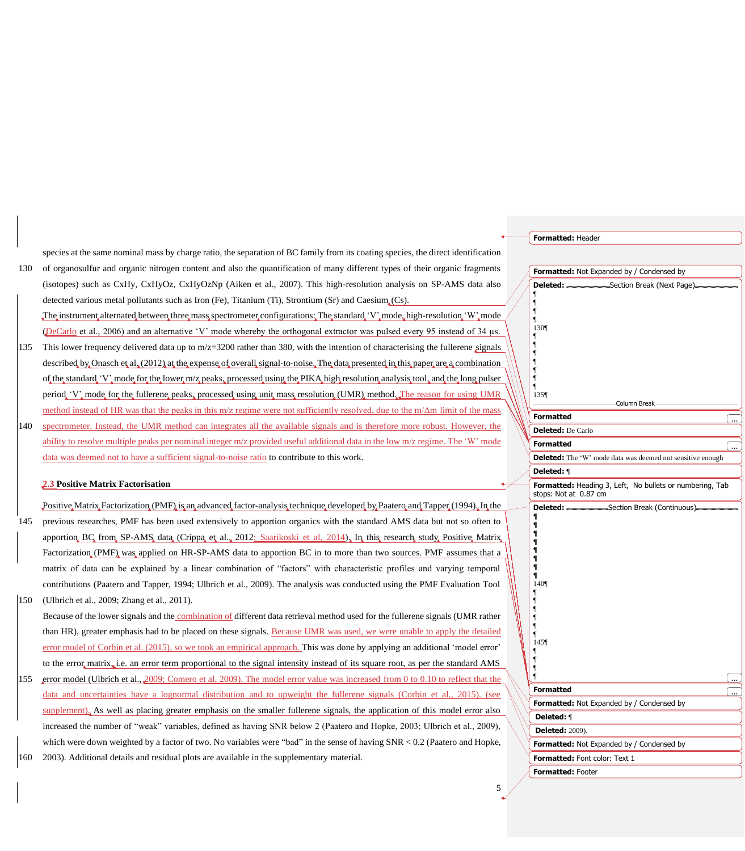|     |                                                                                                                                       | Formatted: Header                                                                 |    |
|-----|---------------------------------------------------------------------------------------------------------------------------------------|-----------------------------------------------------------------------------------|----|
|     | species at the same nominal mass by charge ratio, the separation of BC family from its coating species, the direct identification     |                                                                                   |    |
| 130 | of organosulfur and organic nitrogen content and also the quantification of many different types of their organic fragments           | Formatted: Not Expanded by / Condensed by                                         |    |
|     | (isotopes) such as CxHy, CxHyOz, CxHyOzNp (Aiken et al., 2007). This high-resolution analysis on SP-AMS data also                     | -Section Break (Next Page)                                                        |    |
|     | detected various metal pollutants such as Iron (Fe), Titanium (Ti), Strontium (Sr) and Caesium $(Cs)$ .                               |                                                                                   |    |
|     | The instrument alternated between three mass spectrometer configurations: The standard 'V' mode, high-resolution 'W' mode             |                                                                                   |    |
|     | (DeCarlo et al., 2006) and an alternative 'V' mode whereby the orthogonal extractor was pulsed every 95 instead of 34 us.             | 130¶                                                                              |    |
| 135 | This lower frequency delivered data up to $m/z=3200$ rather than 380, with the intention of characterising the fullerene signals      |                                                                                   |    |
|     | described by Onasch et al. (2012) at the expense of overall signal-to-noise. The data presented in this paper are a combination       |                                                                                   |    |
|     | of the standard 'V' mode for the lower m/z peaks, processed using the PIKA high resolution analysis tool, and the long pulser         |                                                                                   |    |
|     | period, 'V', mode for the fullerene peaks, processed using unit mass resolution (UMR) method. The reason for using UMR                | 135¶                                                                              |    |
|     | method instead of HR was that the peaks in this m/z regime were not sufficiently resolved, due to the m/ $\Delta$ m limit of the mass | Column Break                                                                      |    |
| 140 | spectrometer. Instead, the UMR method can integrates all the available signals and is therefore more robust. However, the             | <b>Formatted</b>                                                                  |    |
|     | ability to resolve multiple peaks per nominal integer m/z provided useful additional data in the low m/z regime. The 'W' mode         | <b>Deleted:</b> De Carlo                                                          |    |
|     |                                                                                                                                       | <b>Formatted</b>                                                                  |    |
|     | data was deemed not to have a sufficient signal-to-noise ratio to contribute to this work.                                            | Deleted: The 'W' mode data was deemed not sensitive enough<br>Deleted: ¶          |    |
|     | 2.3 Positive Matrix Factorisation                                                                                                     | Formatted: Heading 3, Left, No bullets or numbering, Tab<br>stops: Not at 0.87 cm |    |
|     | Positive Matrix Factorization (PMF) is an advanced factor-analysis technique developed by Paatero and Tapper (1994). In the           | «Section Break (Continuous)<br>Deleted:                                           |    |
| 145 | previous researches, PMF has been used extensively to apportion organics with the standard AMS data but not so often to               |                                                                                   |    |
|     | apportion, BC, from, SP-AMS, data, (Crippa, et al., 2012; Saarikoski et al., 2014), In this research, study, Positive, Matrix,        | $\blacksquare$                                                                    |    |
|     | Factorization, (PMF), was applied on HR-SP-AMS data to apportion BC in to more than two sources. PMF assumes that a                   | $\blacksquare$                                                                    |    |
|     | matrix of data can be explained by a linear combination of "factors" with characteristic profiles and varying temporal                |                                                                                   |    |
|     | contributions (Paatero and Tapper, 1994; Ulbrich et al., 2009). The analysis was conducted using the PMF Evaluation Tool              | 140                                                                               |    |
| 150 | (Ulbrich et al., 2009; Zhang et al., 2011).                                                                                           |                                                                                   |    |
|     | Because of the lower signals and the combination of different data retrieval method used for the fullerene signals (UMR rather        |                                                                                   |    |
|     | than HR), greater emphasis had to be placed on these signals. Because UMR was used, we were unable to apply the detailed              |                                                                                   |    |
|     | error model of Corbin et al. (2015), so we took an empirical approach. This was done by applying an additional 'model error'          | 145¶                                                                              |    |
|     | to the error matrix, i.e. an error term proportional to the signal intensity instead of its square root, as per the standard AMS      |                                                                                   |    |
| 155 | error model (Ulbrich et al., 2009; Comero et al., 2009). The model error value was increased from 0 to 0.10 to reflect that the       |                                                                                   |    |
|     | data and uncertainties have a lognormal distribution and to upweight the fullerene signals (Corbin et al., 2015). (see                | <b>Formatted</b>                                                                  | Γ. |
|     | supplement). As well as placing greater emphasis on the smaller fullerene signals, the application of this model error also           | Formatted: Not Expanded by / Condensed by                                         |    |
|     | increased the number of "weak" variables, defined as having SNR below 2 (Paatero and Hopke, 2003; Ulbrich et al., 2009),              | Deleted: 1                                                                        |    |
|     | which were down weighted by a factor of two. No variables were "bad" in the sense of having $SNR < 0.2$ (Paatero and Hopke,           | <b>Deleted:</b> 2009).                                                            |    |
|     |                                                                                                                                       | Formatted: Not Expanded by / Condensed by                                         |    |
| 160 | 2003). Additional details and residual plots are available in the supplementary material.                                             | Formatted: Font color: Text 1<br>Formatted: Footer                                |    |
|     |                                                                                                                                       |                                                                                   |    |

# $\frac{5}{\sqrt{2}}$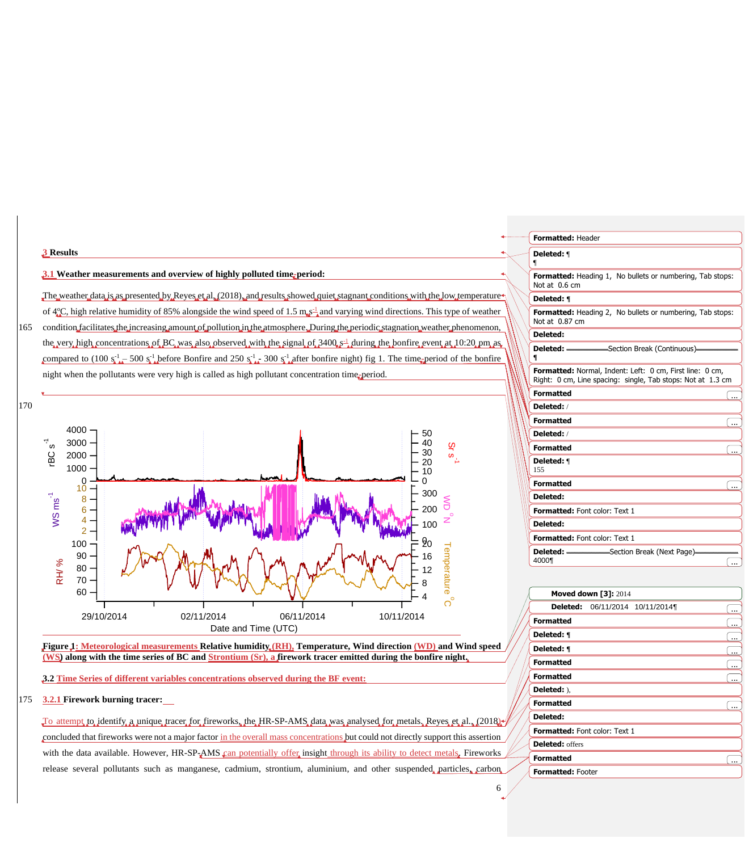

#### **Figure 1: Meteorological measurements Relative humidity (RH), Temperature, Wind direction (WD) and Wind speed (WS) along with the time series of BC and Strontium (Sr), a firework tracer emitted during the bonfire night.**

**3.2 Time Series of different variables concentrations observed during the BF event:**

#### 175 **3.2.1 Firework burning tracer:**

To attempt to identify a unique tracer for fireworks, the HR-SP-AMS data was analysed for metals. Reyes et al., (2018) concluded that fireworks were not a major factor in the overall mass concentrations but could not directly support this assertion with the data available. However, HR-SP- $AMS$  can potentially offer insight through its ability to detect metals. Fireworks release several pollutants such as manganese, cadmium, strontium, aluminium, and other suspended particles, carbon

| <b>Formatted: Header</b>                                                                                                |
|-------------------------------------------------------------------------------------------------------------------------|
| Deleted: 1<br>¶                                                                                                         |
| <b>Formatted:</b> Heading 1, No bullets or numbering, Tab stops:<br>Not at 0.6 cm                                       |
| Deleted: ¶                                                                                                              |
| <b>Formatted:</b> Heading 2, No bullets or numbering, Tab stops:<br>Not at 0.87 cm                                      |
| Deleted:                                                                                                                |
| ¶                                                                                                                       |
| Formatted: Normal, Indent: Left: 0 cm, First line: 0 cm,<br>Right: 0 cm, Line spacing: single, Tab stops: Not at 1.3 cm |
| <b>Formatted</b>                                                                                                        |
| Deleted:/                                                                                                               |
| <b>Formatted</b><br>$\ddotsc$                                                                                           |
| Deleted:/                                                                                                               |
| <b>Formatted</b>                                                                                                        |
| Deleted: 1<br>155                                                                                                       |
| <b>Formatted</b>                                                                                                        |
| Deleted:                                                                                                                |
| Formatted: Font color: Text 1                                                                                           |
| Deleted:                                                                                                                |
| Formatted: Font color: Text 1                                                                                           |
| 4000¶                                                                                                                   |
|                                                                                                                         |

|                               | <b>Moved down [3]: 2014</b>     |  |   |
|-------------------------------|---------------------------------|--|---|
|                               | Deleted: 06/11/2014 10/11/2014¶ |  |   |
| <b>Formatted</b>              |                                 |  |   |
| Deleted: ¶                    |                                 |  |   |
| Deleted: ¶                    |                                 |  |   |
| <b>Formatted</b>              |                                 |  |   |
| <b>Formatted</b>              |                                 |  |   |
| Deleted: ).                   |                                 |  |   |
| <b>Formatted</b>              |                                 |  | . |
| Deleted:                      |                                 |  |   |
| Formatted: Font color: Text 1 |                                 |  |   |
| <b>Deleted:</b> offers        |                                 |  |   |
| <b>Formatted</b>              |                                 |  |   |
| <b>Formatted: Footer</b>      |                                 |  |   |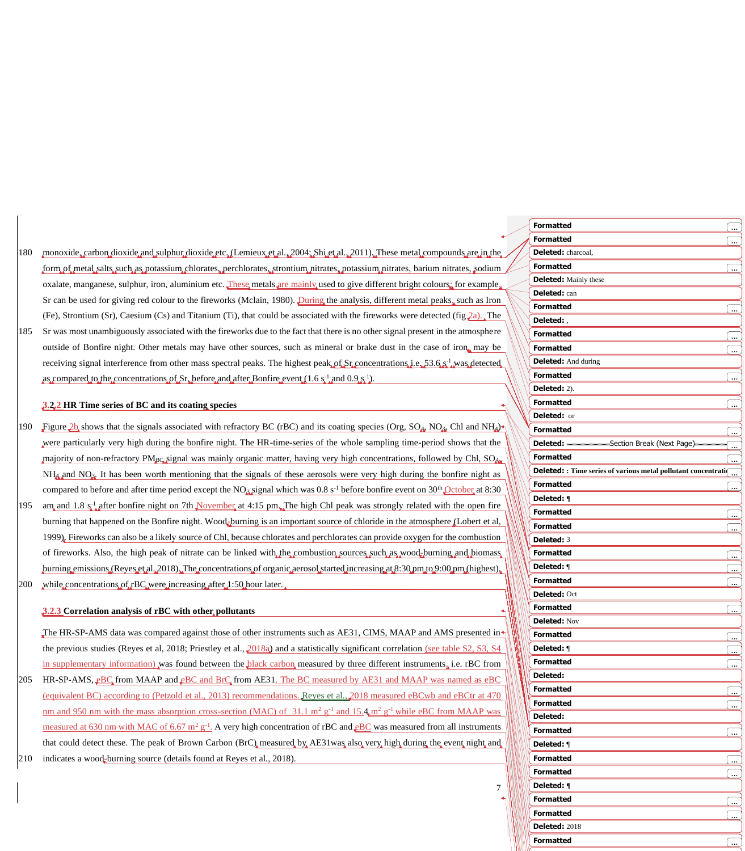- 180 monoxide, carbon dioxide and sulphur dioxide etc. (Lemieux et al., 2004; Shi et al., 2011). These metal compounds are in the form of metal salts such as potassium chlorates, perchlorates, strontium nitrates, potassium nitrates, barium nitrates, sodium oxalate, manganese, sulphur, iron, aluminium etc. These metals are mainly used to give different bright colours; for example, Sr can be used for giving red colour to the fireworks (Mclain, 1980). During the analysis, different metal peaks, such as Iron (Fe), Strontium (Sr), Caesium (Cs) and Titanium (Ti), that could be associated with the fireworks were detected (fig  $2a$ ). The
- 185 Sr was most unambiguously associated with the fireworks due to the fact that there is no other signal present in the atmosphere outside of Bonfire night. Other metals may have other sources, such as mineral or brake dust in the case of iron, may be receiving signal interference from other mass spectral peaks. The highest peak of  $Sr$  concentrations i.e.  $53.6 \times 1$  was detected as compared to the concentrations of Sr, before and after Bonfire event (1.6  $s^{-1}$  and 0.9  $s^{-1}$ ).

#### **3.2.2 HR Time series of BC and its coating species**

- 190 Figure  $2b$  shows that the signals associated with refractory BC (rBC) and its coating species (Org, SO<sub>4</sub>, NO<sub>3</sub>, Chl and NH<sub>4</sub>)<sup>4</sup> were particularly very high during the bonfire night. The HR-time-series of the whole sampling time-period shows that the majority of non-refractory PM<sub>BC</sub> signal was mainly organic matter, having very high concentrations, followed by Chl, SO<sub>4</sub>,  $NH<sub>4</sub>$  and  $NO<sub>3</sub>$ . It has been worth mentioning that the signals of these aerosols were very high during the bonfire night as compared to before and after time period except the NO<sub>3</sub> signal which was  $0.8 s^{-1}$  before bonfire event on 30<sup>th</sup> October at 8:30 195 am and 1.8  $s_{\mu}^{\dagger}$  after bonfire night on 7th November at 4:15 pm. The high Chl peak was strongly related with the open fire
- burning that happened on the Bonfire night. Wood-burning is an important source of chloride in the atmosphere (Lobert et al, 1999). Fireworks can also be a likely source of Chl, because chlorates and perchlorates can provide oxygen for the combustion of fireworks. Also, the high peak of nitrate can be linked with the combustion sources such as wood-burning and biomass burning emissions (Reyes et al. 2018). The concentrations of organic aerosol started increasing at 8:30 pm to 9:00 pm (highest), 200 while concentrations of rBC were increasing after 1:50 hour later.

#### **3.2.3 Correlation analysis of rBC with other pollutants**

The HR-SP-AMS data was compared against those of other instruments such as AE31, CIMS, MAAP and AMS presented in the previous studies (Reyes et al, 2018; Priestley et al., 2018a) and a statistically significant correlation (see table S2, S3, S4 in supplementary information) was found between the black carbon measured by three different instruments, i.e. rBC from

205 HR-SP-AMS,  $EBC$  from MAAP and  $EBC$  and BrC from AE31. The BC measured by AE31 and MAAP was named as eBC (equivalent BC) according to (Petzold et al., 2013) recommendations. Reyes et al., 2018 measured eBCwb and eBCtr at 470 nm and 950 nm with the mass absorption cross-section (MAC) of 31.1 m<sup>2</sup> g<sup>-1</sup> and 15.4 m<sup>2</sup> g<sup>-1</sup> while eBC from MAAP was measured at 630 nm with MAC of 6.67  $m^2 g^{-1}$ . A very high concentration of rBC and  $E$ C was measured from all instruments that could detect these. The peak of Brown Carbon (BrC) measured by AE31was also very high during the event night and

210 indicates a wood-burning source (details found at Reyes et al., 2018).

| <b>Formatted</b>                                               | ىيى)                 |
|----------------------------------------------------------------|----------------------|
| <b>Formatted</b>                                               |                      |
| Deleted: charcoal,                                             |                      |
| <b>Formatted</b>                                               | 〔…                   |
| <b>Deleted:</b> Mainly these                                   |                      |
| Deleted: can                                                   |                      |
| <b>Formatted</b>                                               | <u>( </u>            |
| Deleted:,                                                      |                      |
| <b>Formatted</b>                                               |                      |
| <b>Formatted</b>                                               |                      |
| <b>Deleted:</b> And during                                     |                      |
| <b>Formatted</b>                                               |                      |
| Deleted: 2).                                                   |                      |
| <b>Formatted</b>                                               |                      |
| Deleted: or                                                    | ( <u></u>            |
| <b>Formatted</b>                                               |                      |
|                                                                | <u>(</u>             |
| <b>Formatted</b>                                               |                      |
|                                                                | <u>ب</u> )           |
| Deleted: : Time series of various metal pollutant concentrati( |                      |
| <b>Formatted</b>                                               | <u>ب</u> )           |
| Deleted: ¶                                                     |                      |
| <b>Formatted</b>                                               | $\cdot$              |
| <b>Formatted</b>                                               | <u>ب</u>             |
| Deleted: 3                                                     |                      |
| <b>Formatted</b>                                               | $\ddot{\phantom{a}}$ |
| Deleted: 1                                                     | چا                   |
| <b>Formatted</b>                                               |                      |
| Deleted: Oct                                                   |                      |
| <b>Formatted</b>                                               |                      |
| Deleted: Nov                                                   |                      |
| <b>Formatted</b>                                               | <u>ب</u> )           |
| Deleted: 1                                                     |                      |
| <b>Formatted</b>                                               |                      |
| Deleted:                                                       |                      |
| <b>Formatted</b>                                               | <u></u>              |
| <b>Formatted</b>                                               |                      |
| Deleted:                                                       |                      |
| <b>Formatted</b>                                               |                      |
| Deleted: 1                                                     |                      |
| <b>Formatted</b>                                               | $\cdot$              |
| <b>Formatted</b>                                               |                      |
| Deleted: ¶                                                     |                      |
| <b>Formatted</b>                                               | $\cdot$              |
| <b>Formatted</b>                                               |                      |
| <b>Deleted: 2018</b>                                           |                      |
| <b>Formatted</b>                                               | 〔…                   |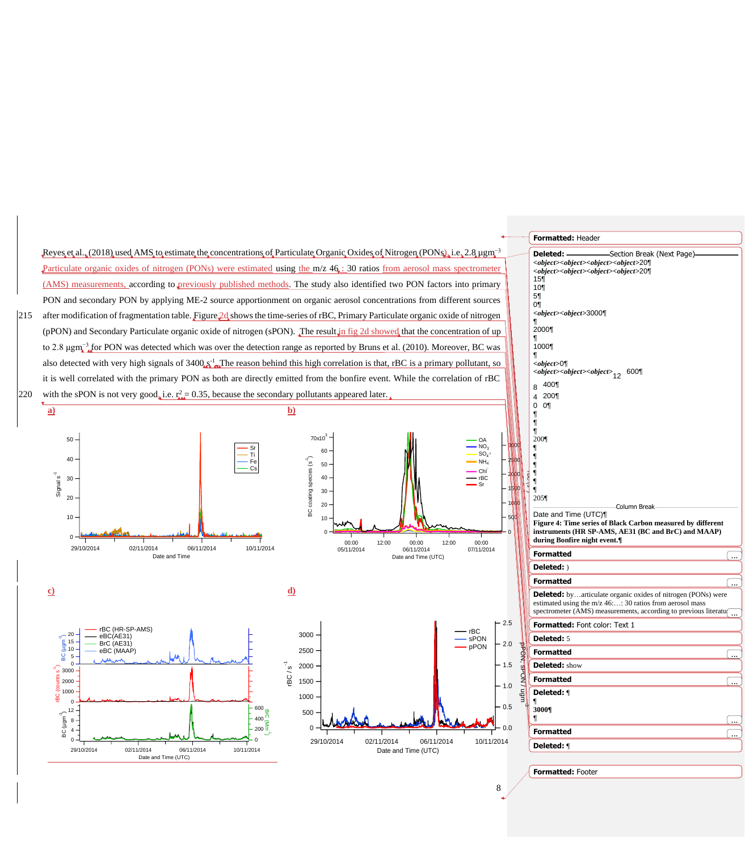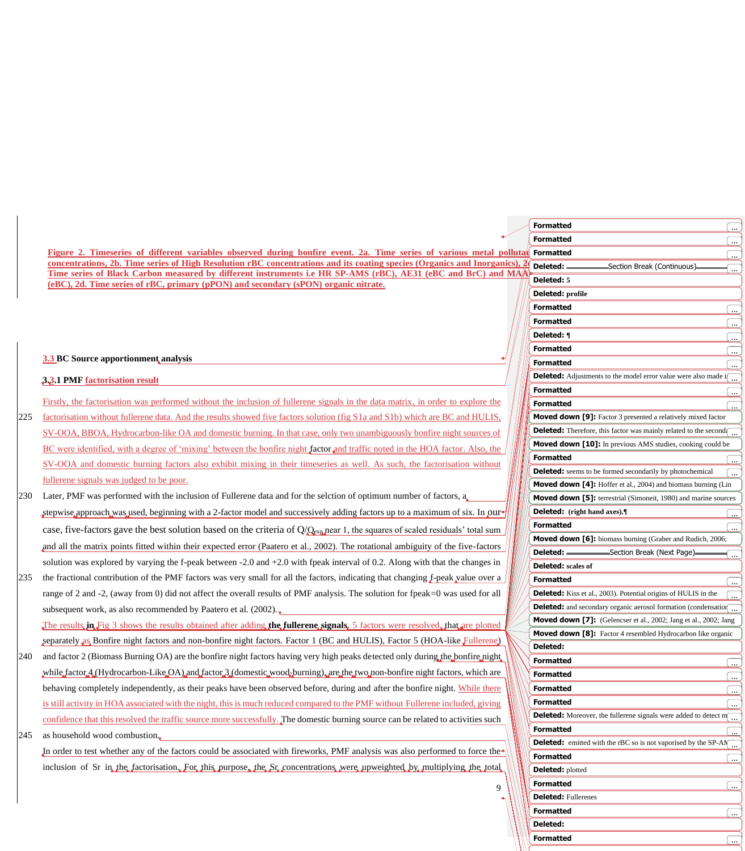|     |                                                                                                                                                                                                      | <b>Formatted</b>                                                                                          |
|-----|------------------------------------------------------------------------------------------------------------------------------------------------------------------------------------------------------|-----------------------------------------------------------------------------------------------------------|
|     |                                                                                                                                                                                                      | <b>Formatted</b>                                                                                          |
|     | Figure 2. Timeseries of different variables observed during bonfire event. 2a. Time series of various metal pollutat                                                                                 | <b>Formatted</b>                                                                                          |
|     | concentrations, 2b. Time series of High Resolution rBC concentrations and its coating species (Organics and Inorganics),                                                                             | Deleted:<br>-Section Break (Continuous)-<br>l                                                             |
|     | Time series of Black Carbon measured by different instruments i.e HR SP-AMS (rBC), AE31 (eBC and BrC) and MAA<br>(eBC), 2d. Time series of rBC, primary (pPON) and secondary (sPON) organic nitrate. | Deleted: 5                                                                                                |
|     |                                                                                                                                                                                                      | Deleted: profile                                                                                          |
|     |                                                                                                                                                                                                      | <b>Formatted</b><br>〔…                                                                                    |
|     |                                                                                                                                                                                                      | <b>Formatted</b><br>〔…                                                                                    |
|     |                                                                                                                                                                                                      | Deleted: ¶<br>〔…                                                                                          |
|     |                                                                                                                                                                                                      | <b>Formatted</b>                                                                                          |
|     | <b>3.3 BC Source apportionment analysis</b>                                                                                                                                                          | <b>Formatted</b>                                                                                          |
|     | <b>3.3.1 PMF factorisation result</b>                                                                                                                                                                | <b>Deleted:</b> Adjustments to the model error value were also made if                                    |
|     |                                                                                                                                                                                                      | <b>Formatted</b>                                                                                          |
|     | Firstly, the factorisation was performed without the inclusion of fullerene signals in the data matrix, in order to explore the                                                                      | <b>Formatted</b>                                                                                          |
| 225 | factorisation without fullerene data. And the results showed five factors solution (fig S1a and S1b) which are BC and HULIS,                                                                         | <b>Moved down [9]:</b> Factor 3 presented a relatively mixed factor                                       |
|     | SV-OOA, BBOA, Hydrocarbon-like OA and domestic burning. In that case, only two unambiguously bonfire night sources of                                                                                | <b>Deleted:</b> Therefore, this factor was mainly related to the second                                   |
|     | BC were identified, with a degree of 'mixing' between the bonfire night factor and traffic noted in the HOA factor. Also, the                                                                        | Moved down [10]: In previous AMS studies, cooking could be                                                |
|     | SV-OOA and domestic burning factors also exhibit mixing in their timeseries as well. As such, the factorisation without                                                                              | <b>Formatted</b><br><b>Deleted:</b> seems to be formed secondarily by photochemical                       |
|     | fullerene signals was judged to be poor.                                                                                                                                                             | Moved down [4]: Hoffer et al., 2004) and biomass burning (Lin                                             |
| 230 | Later, PMF was performed with the inclusion of Fullerene data and for the selction of optimum number of factors, $a_{\mu}$                                                                           | Moved down [5]: terrestrial (Simoneit, 1980) and marine sources                                           |
|     | stepwise approach was used, beginning with a 2-factor model and successively adding factors up to a maximum of six. In our                                                                           | Deleted: (right hand axes).                                                                               |
|     |                                                                                                                                                                                                      | <b>Formatted</b>                                                                                          |
|     | case, five-factors gave the best solution based on the criteria of $Q/Q_{\rm exa}$ near 1, the squares of scaled residuals' total sum                                                                | Moved down [6]: biomass burning (Graber and Rudich, 2006;                                                 |
|     | and all the matrix points fitted within their expected error (Paatero et al., 2002). The rotational ambiguity of the five-factors                                                                    | Deleted: -<br>-Section Break (Next Page)                                                                  |
|     | solution was explored by varying the f-peak between $-2.0$ and $+2.0$ with fpeak interval of 0.2. Along with that the changes in                                                                     | <b>Deleted:</b> scales of                                                                                 |
| 235 | the fractional contribution of the PMF factors was very small for all the factors, indicating that changing f-peak value over a                                                                      | <b>Formatted</b>                                                                                          |
|     | range of 2 and -2, (away from 0) did not affect the overall results of PMF analysis. The solution for fpeak=0 was used for all                                                                       | <b>Deleted:</b> Kiss et al., 2003). Potential origins of HULIS in the                                     |
|     | subsequent work, as also recommended by Paatero et al. (2002).                                                                                                                                       | <b>Deleted:</b> and secondary organic aerosol formation (condensation                                     |
|     | The results in Fig 3 shows the results obtained after adding the fullerene signals, 5 factors were resolved, that are plotted                                                                        | <b>Moved down [7]:</b> (Gelencser et al., 2002; Jang et al., 2002; Jang                                   |
|     | separately as Bonfire night factors and non-bonfire night factors. Factor 1 (BC and HULIS), Factor 5 (HOA-like Fullerene)                                                                            | <b>Moved down [8]:</b> Factor 4 resembled Hydrocarbon like organic                                        |
| 240 | and factor 2 (Biomass Burning OA) are the bonfire night factors having very high peaks detected only during the bonfire night.                                                                       | Deleted:                                                                                                  |
|     | while factor 4.4 Hydrocarbon-Like OA) and factor 3.4 domestic wood, burning), are the two non-bonfire night factors, which are                                                                       | <b>Formatted</b><br>.                                                                                     |
|     |                                                                                                                                                                                                      | <b>Formatted</b><br>〔…                                                                                    |
|     | behaving completely independently, as their peaks have been observed before, during and after the bonfire night. While there                                                                         | <b>Formatted</b><br>.                                                                                     |
|     | is still activity in HOA associated with the night, this is much reduced compared to the PMF without Fullerene included, giving                                                                      | <b>Formatted</b>                                                                                          |
|     | confidence that this resolved the traffic source more successfully. The domestic burning source can be related to activities such                                                                    | <b>Deleted:</b> Moreover, the fullerene signals were added to detect $m_{\text{max}}$<br><b>Formatted</b> |
| 245 | as household wood combustion.                                                                                                                                                                        | <b>Deleted:</b> emitted with the rBC so is not vaporised by the SP-AN $\frac{1}{\cdots}$                  |
|     | In order to test whether any of the factors could be associated with fireworks, PMF analysis was also performed to force the                                                                         | <b>Formatted</b><br>〔…〕                                                                                   |
|     | inclusion of Sr in the factorisation. For this purpose, the Sr concentrations were upweighted by multiplying the total                                                                               | Deleted: plotted                                                                                          |
|     | Q                                                                                                                                                                                                    | <b>Formatted</b>                                                                                          |
|     |                                                                                                                                                                                                      | <b>Deleted: Fullerenes</b>                                                                                |
|     |                                                                                                                                                                                                      | <b>Formatted</b>                                                                                          |

**Deleted:** 

**Formatted** ...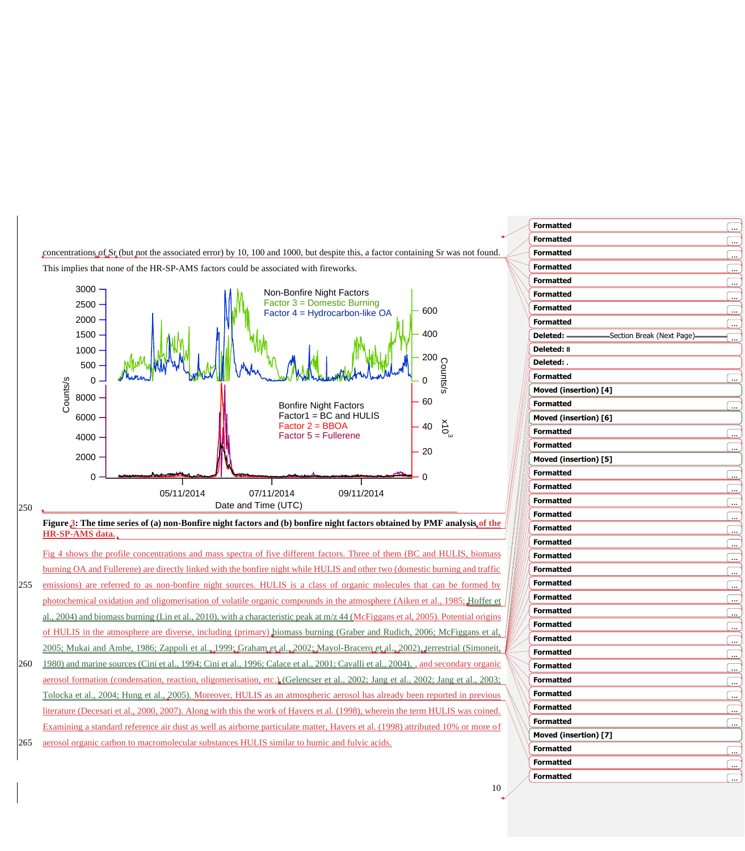

| <b>Formatted</b>      |         |
|-----------------------|---------|
| <b>Formatted</b>      |         |
| <b>Formatted</b>      |         |
| <b>Formatted</b>      | ب<br>ب  |
| <b>Formatted</b>      |         |
| <b>Formatted</b>      |         |
| <b>Formatted</b>      | <u></u> |
| <b>Formatted</b>      |         |
|                       |         |
| Deleted: 8            |         |
| Deleted: .            |         |
| <b>Formatted</b>      |         |
| Moved (insertion) [4] |         |
| <b>Formatted</b>      |         |
| Moved (insertion) [6] |         |
| <b>Formatted</b>      |         |
| <b>Formatted</b>      |         |
| Moved (insertion) [5] |         |
| <b>Formatted</b>      | ÷       |
| <b>Formatted</b>      |         |
| <b>Formatted</b>      |         |
| <b>Formatted</b>      | ÷.      |
| <b>Formatted</b>      |         |
| <b>Formatted</b>      | <u></u> |
| <b>Formatted</b>      |         |
| <b>Formatted</b>      |         |
| <b>Formatted</b>      | ÷       |
| <b>Formatted</b>      |         |
| <b>Formatted</b>      | <u></u> |
| <b>Formatted</b>      |         |
| <b>Formatted</b>      |         |
| <b>Formatted</b>      |         |
| <b>Formatted</b>      |         |
| <b>Formatted</b>      |         |
| <b>Formatted</b>      | <u></u> |
| <b>Formatted</b>      |         |
| <b>Formatted</b>      | <u></u> |
| Moved (insertion) [7] |         |
| <b>Formatted</b>      |         |
| <b>Formatted</b>      | ÷       |
|                       |         |
| <b>Formatted</b>      |         |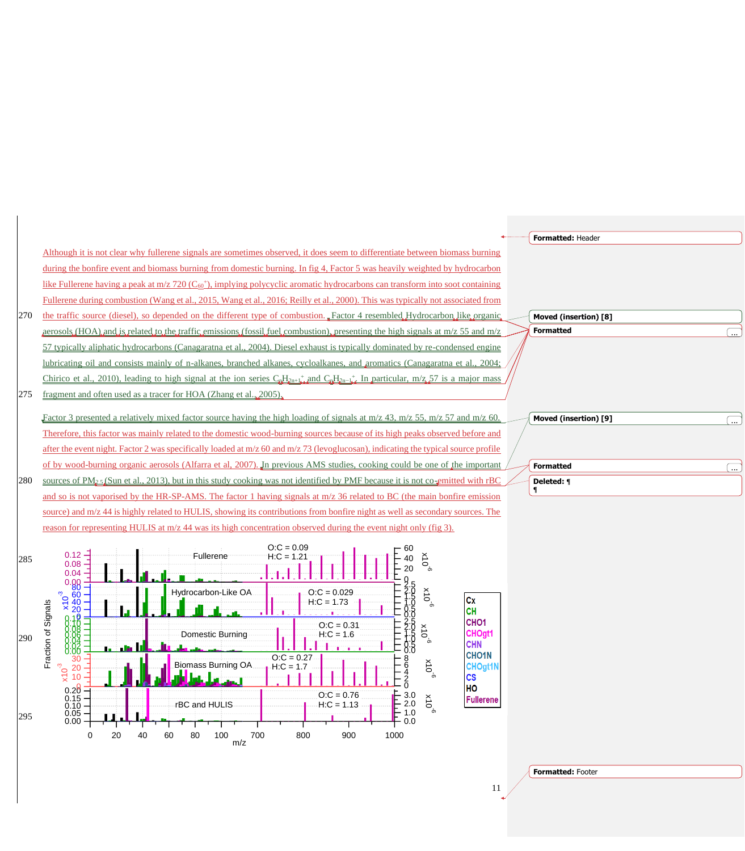

**Formatted:** Footer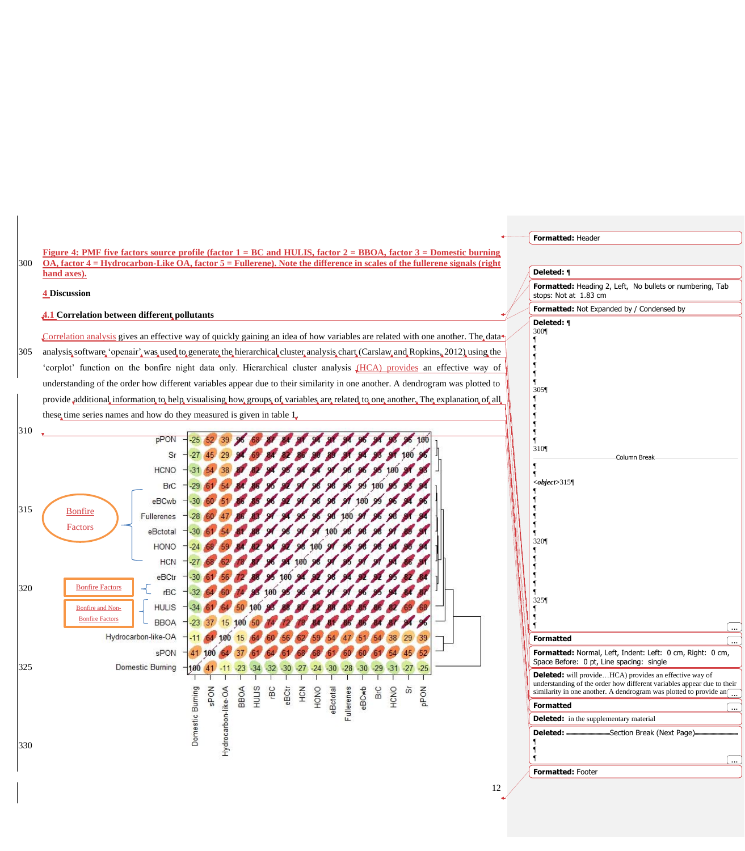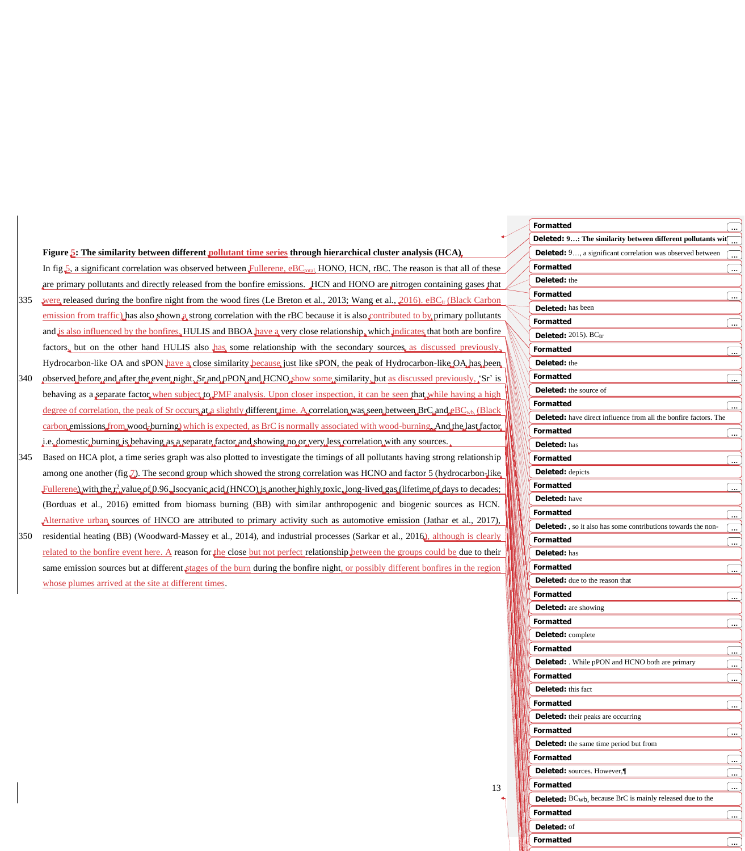|     | Figure 5: The similarity between different pollutant time series through hierarchical cluster analysis (HCA).                                   |
|-----|-------------------------------------------------------------------------------------------------------------------------------------------------|
|     | In fig.5, a significant correlation was observed between Fullerene, eBC <sub>total</sub> , HONO, HCN, rBC. The reason is that all of these      |
|     | are primary pollutants and directly released from the bonfire emissions. HCN and HONO are nitrogen containing gases that                        |
| 335 | were released during the bonfire night from the wood fires (Le Breton et al., 2013; Wang et al., 2016). eBC <sub>IV</sub> (Black Carbon         |
|     | emission from traffic) has also shown a strong correlation with the rBC because it is also contributed to by primary pollutants                 |
|     | and is also influenced by the bonfires. HULIS and BBOA have a very close relationship, which indicates that both are bonfire                    |
|     | factors, but on the other hand HULIS also has some relationship with the secondary sources, as discussed previously,                            |
|     | Hydrocarbon-like OA and sPON have a close similarity because just like sPON, the peak of Hydrocarbon-like OA has been                           |
| 340 | observed before and after the event night. Sr and pPON and HCNO show some similarity, but as discussed previously, 'Sr' is                      |
|     | behaving as a separate factor, when subject to PMF analysis. Upon closer inspection, it can be seen that while having a high                    |
|     | degree of correlation, the peak of Sr occurs at a slightly different time. A correlation was seen between $BrC_4$ and $eBC_{wb}$ . (Black       |
|     | carbon emissions from wood, burning which is expected, as BrC is normally associated with wood-burning And the last factor.                     |
|     | i.e. domestic burning is behaving as a separate factor and showing no or very less correlation with any sources.                                |
| 345 | Based on HCA plot, a time series graph was also plotted to investigate the timings of all pollutants having strong relationship                 |
|     | among one another (fig. $\bar{J}$ ). The second group which showed the strong correlation was HCNO and factor 5 (hydrocarbon-like,              |
|     | $\text{Fullerene},$ with the $r_i^2$ value of 0.96. Isocyanic acid (HNCO) is another highly toxic. long-lived gas (lifetime of days to decades; |
|     | (Borduas et al., 2016) emitted from biomass burning (BB) with similar anthropogenic and biogenic sources as HCN.                                |
|     | Alternative urban sources of HNCO are attributed to primary activity such as automotive emission (Jathar et al., 2017),                         |
| 350 | residential heating (BB) (Woodward-Massey et al., 2014), and industrial processes (Sarkar et al., 2016), although is clearly                    |
|     | related to the bonfire event here. A reason for the close but not perfect relationship between the groups could be due to their                 |
|     | same emission sources but at different stages of the burn during the bonfire night, or possibly different bonfires in the region                |
|     | whose plumes arrived at the site at different times.                                                                                            |
|     |                                                                                                                                                 |

| <b>Formatted</b>                                                              | ÷                    |
|-------------------------------------------------------------------------------|----------------------|
| <b>Deleted:</b> 9: The similarity between different pollutants wit $\boxed{}$ |                      |
| <b>Deleted:</b> 9, a significant correlation was observed between             | ___                  |
| <b>Formatted</b>                                                              | ÷                    |
| Deleted: the                                                                  |                      |
| <b>Formatted</b>                                                              |                      |
| <b>Deleted:</b> has been                                                      |                      |
| <b>Formatted</b>                                                              |                      |
| Deleted: 2015). BCtr                                                          |                      |
| <b>Formatted</b>                                                              | $\mathbf{r}$         |
| <b>Deleted:</b> the                                                           |                      |
| <b>Formatted</b>                                                              |                      |
| <b>Deleted:</b> the source of                                                 | $\ddotsc$            |
| <b>Formatted</b>                                                              |                      |
| Deleted: have direct influence from all the bonfire factors. The              |                      |
| <b>Formatted</b>                                                              |                      |
| <b>Deleted:</b> has                                                           |                      |
|                                                                               |                      |
| <b>Formatted</b>                                                              |                      |
| <b>Deleted:</b> depicts                                                       |                      |
| <b>Formatted</b>                                                              | $\ddot{\phantom{a}}$ |
| <b>Deleted:</b> have                                                          |                      |
| <b>Formatted</b>                                                              |                      |
| <b>Deleted:</b> , so it also has some contributions towards the non-          | <u>(…</u>            |
| <b>Formatted</b>                                                              |                      |
| <b>Deleted: has</b>                                                           |                      |
| <b>Formatted</b>                                                              |                      |
| <b>Deleted:</b> due to the reason that                                        |                      |
| <b>Formatted</b>                                                              |                      |
| <b>Deleted:</b> are showing                                                   |                      |
| <b>Formatted</b>                                                              |                      |
| <b>Deleted:</b> complete                                                      |                      |
| <b>Formatted</b>                                                              | <u></u>              |
| <b>Deleted:</b> While pPON and HCNO both are primary                          |                      |
| <b>Formatted</b>                                                              |                      |
| Deleted: this fact                                                            |                      |
| <b>Formatted</b>                                                              |                      |
| <b>Deleted:</b> their peaks are occurring                                     |                      |
| <b>Formatted</b>                                                              | <u></u>              |
| <b>Deleted:</b> the same time period but from                                 |                      |
| <b>Formatted</b>                                                              | <u>.</u>             |
| Deleted: sources. However,                                                    |                      |
| <b>Formatted</b>                                                              | یبا                  |
| Deleted: BC <sub>wb</sub> , because BrC is mainly released due to the         |                      |
| <b>Formatted</b>                                                              | $\cdots$             |
| Deleted: of                                                                   |                      |
| <b>Formatted</b>                                                              | ĺ<br>$\ddotsc$       |
|                                                                               |                      |

 $\frac{13}{4}$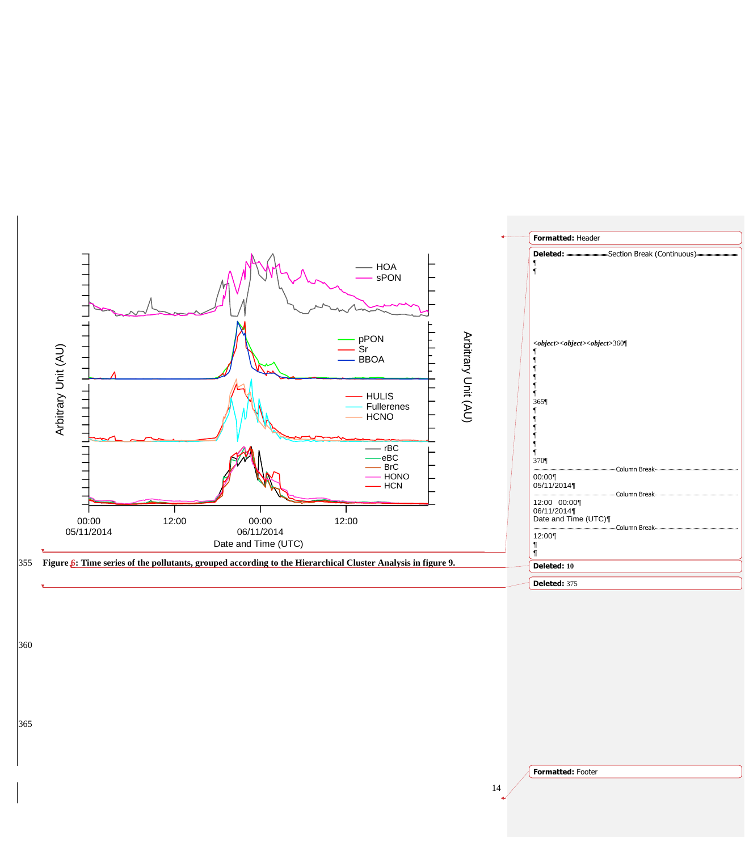

365

**Formatted:** Footer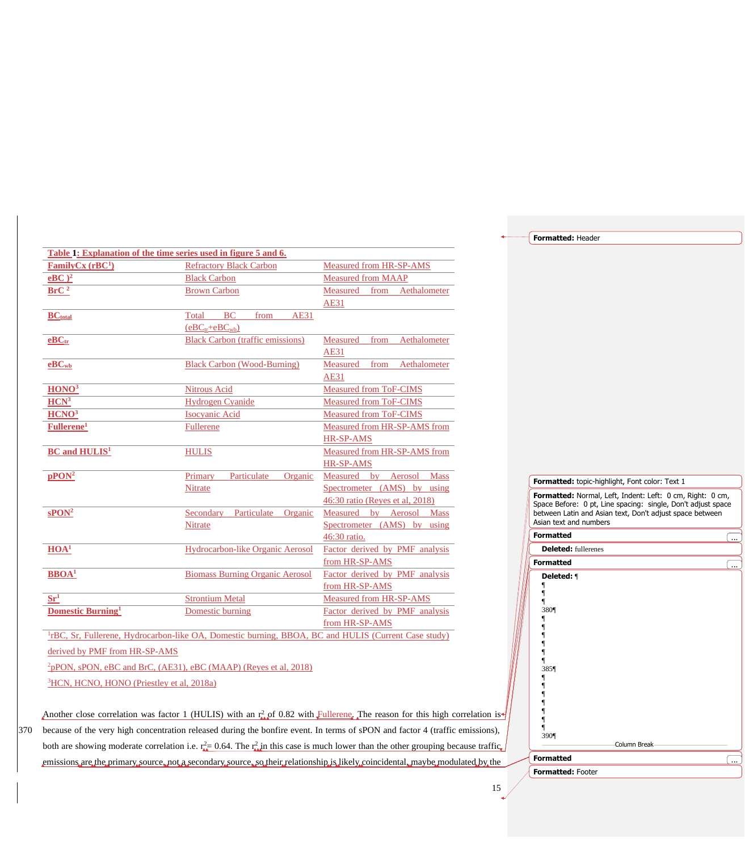**Formatted:** Header

| Table 1: Explanation of the time series used in figure 5 and 6. |                                                                                                                 |                                  |  |  |  |  |  |  |
|-----------------------------------------------------------------|-----------------------------------------------------------------------------------------------------------------|----------------------------------|--|--|--|--|--|--|
| FamilyCx $(rBC1)$                                               | <b>Refractory Black Carbon</b>                                                                                  | Measured from HR-SP-AMS          |  |  |  |  |  |  |
| $e$ BC $)^2$                                                    | <b>Black Carbon</b>                                                                                             | <b>Measured from MAAP</b>        |  |  |  |  |  |  |
| BrC <sup>2</sup>                                                | <b>Brown Carbon</b>                                                                                             | Measured<br>Aethalometer<br>from |  |  |  |  |  |  |
|                                                                 |                                                                                                                 | AE31                             |  |  |  |  |  |  |
| <b>BC</b> <sub>total</sub>                                      | <b>BC</b><br>from<br>AE31<br>Total                                                                              |                                  |  |  |  |  |  |  |
|                                                                 | $(eBCtr+eBCwb)$                                                                                                 |                                  |  |  |  |  |  |  |
| $e$ B $Ctr$                                                     | <b>Black Carbon (traffic emissions)</b>                                                                         | Measured<br>Aethalometer<br>from |  |  |  |  |  |  |
|                                                                 |                                                                                                                 | AE31                             |  |  |  |  |  |  |
| $e$ B $C$ <sub>wb</sub>                                         | <b>Black Carbon (Wood-Burning)</b>                                                                              | Aethalometer<br>Measured<br>from |  |  |  |  |  |  |
|                                                                 |                                                                                                                 | <b>AE31</b>                      |  |  |  |  |  |  |
| HONO <sup>3</sup>                                               | <b>Nitrous Acid</b>                                                                                             | Measured from ToF-CIMS           |  |  |  |  |  |  |
| HCN <sup>3</sup>                                                | <b>Hydrogen Cyanide</b>                                                                                         | Measured from ToF-CIMS           |  |  |  |  |  |  |
| H CNO <sup>3</sup>                                              | <b>Isocyanic Acid</b>                                                                                           | Measured from ToF-CIMS           |  |  |  |  |  |  |
| Fullerene <sup>1</sup>                                          | Fullerene                                                                                                       | Measured from HR-SP-AMS from     |  |  |  |  |  |  |
|                                                                 |                                                                                                                 | <b>HR-SP-AMS</b>                 |  |  |  |  |  |  |
| <b>BC</b> and <b>HULIS<sup>1</sup></b>                          | <b>HULIS</b>                                                                                                    | Measured from HR-SP-AMS from     |  |  |  |  |  |  |
|                                                                 |                                                                                                                 | HR-SP-AMS                        |  |  |  |  |  |  |
| pPON <sup>2</sup>                                               | Particulate<br>Organic<br>Primary                                                                               | Measured by Aerosol Mass         |  |  |  |  |  |  |
|                                                                 | Nitrate                                                                                                         | Spectrometer (AMS) by using      |  |  |  |  |  |  |
|                                                                 |                                                                                                                 | 46:30 ratio (Reyes et al, 2018)  |  |  |  |  |  |  |
| $\mathrm{sPON}^2$                                               | Particulate<br>Organic<br>Secondary                                                                             | Measured by Aerosol Mass         |  |  |  |  |  |  |
|                                                                 | Nitrate                                                                                                         | Spectrometer (AMS) by using      |  |  |  |  |  |  |
|                                                                 |                                                                                                                 | 46:30 ratio.                     |  |  |  |  |  |  |
| HOA <sup>1</sup>                                                | Hydrocarbon-like Organic Aerosol                                                                                | Factor derived by PMF analysis   |  |  |  |  |  |  |
|                                                                 |                                                                                                                 | from HR-SP-AMS                   |  |  |  |  |  |  |
| $BBOA1$                                                         | <b>Biomass Burning Organic Aerosol</b>                                                                          | Factor derived by PMF analysis   |  |  |  |  |  |  |
|                                                                 |                                                                                                                 | from HR-SP-AMS                   |  |  |  |  |  |  |
| $Sr^1$                                                          | <b>Strontium Metal</b>                                                                                          | Measured from HR-SP-AMS          |  |  |  |  |  |  |
| <b>Domestic Burning</b> <sup>1</sup>                            | Domestic burning                                                                                                | Factor derived by PMF analysis   |  |  |  |  |  |  |
|                                                                 |                                                                                                                 | from HR-SP-AMS                   |  |  |  |  |  |  |
|                                                                 | <sup>1</sup> rBC, Sr, Fullerene, Hydrocarbon-like OA, Domestic burning, BBOA, BC and HULIS (Current Case study) |                                  |  |  |  |  |  |  |

derived by PMF from HR-SP-AMS

<sup>2</sup>pPON, sPON, eBC and BrC, (AE31), eBC (MAAP) (Reyes et al, 2018) <sup>3</sup>HCN, HCNO, HONO (Priestley et al, 2018a)

Another close correlation was factor 1 (HULIS) with an  $r_{\rm A}^2$  of 0.82 with Fullerene. The reason for this high correlation is-370 because of the very high concentration released during the bonfire event. In terms of sPON and factor 4 (traffic emissions), both are showing moderate correlation i.e.  $r_{\text{max}}^2 = 0.64$ . The  $r_{\text{max}}^2$  in this case is much lower than the other grouping because traffic emissions are the primary source, not a secondary source, so their relationship is likely coincidental, maybe modulated by the

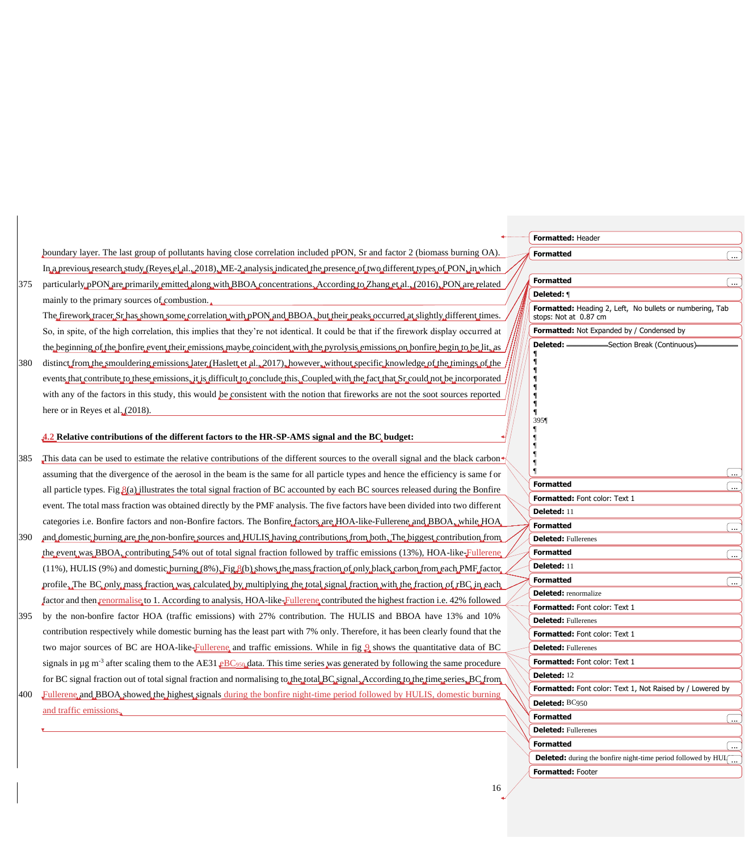|     |                                                                                                                                                           | Formatted: Header                                                                                                                                                                                                                                           |
|-----|-----------------------------------------------------------------------------------------------------------------------------------------------------------|-------------------------------------------------------------------------------------------------------------------------------------------------------------------------------------------------------------------------------------------------------------|
|     | boundary layer. The last group of pollutants having close correlation included pPON, Sr and factor 2 (biomass burning OA).                                | <b>Formatted</b>                                                                                                                                                                                                                                            |
|     | In a previous research study (Reyes el al., 2018). ME-2 analysis indicated the presence of two different types of PON, in which                           |                                                                                                                                                                                                                                                             |
| 375 | particularly, pPON, are, primarily, emitted along with BBOA, concentrations. According to Zhang et al., (2016), PON, are, related                         | <b>Formatted</b><br>$\boxed{}$                                                                                                                                                                                                                              |
|     | mainly to the primary sources of combustion.                                                                                                              | Deleted: 1                                                                                                                                                                                                                                                  |
|     | The firework tracer Sr has shown some correlation with pPON and BBOA , but their peaks occurred at slightly different times.                              | Formatted: Heading 2, Left, No bullets or numbering, Tab<br>stops: Not at 0.87 cm                                                                                                                                                                           |
|     | So, in spite, of the high correlation, this implies that they're not identical. It could be that if the firework display occurred at                      | Formatted: Not Expanded by / Condensed by                                                                                                                                                                                                                   |
|     | the beginning of the bonfire event their emissions maybe coincident with the pyrolysis emissions on bonfire begin to be lit, as                           | Section Break (Continuous).                                                                                                                                                                                                                                 |
| 380 | distinct from the smouldering emissions later (Haslett et al., 2017), however, without specific knowledge of the timings of the                           |                                                                                                                                                                                                                                                             |
|     | events that contribute to these emissions, it is difficult to conclude this. Coupled with the fact that Sr could not be incorporated                      |                                                                                                                                                                                                                                                             |
|     | with any of the factors in this study, this would be consistent with the notion that fireworks are not the soot sources reported                          |                                                                                                                                                                                                                                                             |
|     | here or in Reyes et al. $(2018)$ .                                                                                                                        |                                                                                                                                                                                                                                                             |
|     |                                                                                                                                                           | 3951                                                                                                                                                                                                                                                        |
|     | 4.2 Relative contributions of the different factors to the HR-SP-AMS signal and the BC budget:                                                            |                                                                                                                                                                                                                                                             |
| 385 | This data can be used to estimate the relative contributions of the different sources to the overall signal and the black carbon                          |                                                                                                                                                                                                                                                             |
|     | assuming that the divergence of the aerosol in the beam is the same for all particle types and hence the efficiency is same for                           |                                                                                                                                                                                                                                                             |
|     | all particle types. Fig $\mathcal{S}(a)$ illustrates the total signal fraction of BC accounted by each BC sources released during the Bonfire             | <b>Formatted</b><br>ra 1999.<br>Politika politika politika politika politika politika politika politika politika politika politika po<br>Politika politika politika politika politika politika politika politika politika politika politika politika po<br> |
|     | event. The total mass fraction was obtained directly by the PMF analysis. The five factors have been divided into two different                           | Formatted: Font color: Text 1                                                                                                                                                                                                                               |
|     | categories i.e. Bonfire factors and non-Bonfire factors. The Bonfire factors are HOA-like-Fullerene and BBOA, while HOA                                   | Deleted: 11<br><b>Formatted</b>                                                                                                                                                                                                                             |
| 390 | and domestic burning are the non-bonfire sources and HULIS having contributions from both. The biggest contribution from                                  | $\boxed{}$<br><b>Deleted:</b> Fullerenes                                                                                                                                                                                                                    |
|     | the event was BBOA, contributing 54% out of total signal fraction followed by traffic emissions (13%), HOA-like-Fullerene                                 | <b>Formatted</b><br>(  )                                                                                                                                                                                                                                    |
|     | $(11\%)$ , HULIS (9%) and domestic burning (8%), Fig. $\{(b)$ shows the mass fraction of only black carbon from each PMF factor.                          | Deleted: 11                                                                                                                                                                                                                                                 |
|     | profile The BC only mass fraction was calculated by multiplying the total signal fraction with the fraction of rBC in each                                | <b>Formatted</b><br>$\boxed{}$                                                                                                                                                                                                                              |
|     | factor and then renormalise to 1. According to analysis, HOA-like Fullerene contributed the highest fraction i.e. 42% followed                            | <b>Deleted:</b> renormalize                                                                                                                                                                                                                                 |
| 395 | by the non-bonfire factor HOA (traffic emissions) with 27% contribution. The HULIS and BBOA have 13% and 10%                                              | Formatted: Font color: Text 1                                                                                                                                                                                                                               |
|     | contribution respectively while domestic burning has the least part with 7% only. Therefore, it has been clearly found that the                           | <b>Deleted: Fullerenes</b><br>Formatted: Font color: Text 1                                                                                                                                                                                                 |
|     | two major sources of BC are HOA-like-Fullerene, and traffic emissions. While in fig. $\Omega$ shows the quantitative data of BC                           | <b>Deleted: Fullerenes</b>                                                                                                                                                                                                                                  |
|     | signals in $\mu$ g m <sup>-3</sup> after scaling them to the AE31 eBC <sub>950</sub> data. This time series was generated by following the same procedure | Formatted: Font color: Text 1                                                                                                                                                                                                                               |
|     | for BC signal fraction out of total signal fraction and normalising to the total BC signal. According to the time series BC from                          | Deleted: 12                                                                                                                                                                                                                                                 |
| 400 | Fullerene and BBOA showed the highest signals during the bonfire night-time period followed by HULIS, domestic burning                                    | Formatted: Font color: Text 1, Not Raised by / Lowered by                                                                                                                                                                                                   |
|     |                                                                                                                                                           | Deleted: BC950                                                                                                                                                                                                                                              |
|     | and traffic emissions.                                                                                                                                    | <b>Formatted</b><br>(  )                                                                                                                                                                                                                                    |
|     |                                                                                                                                                           | <b>Deleted: Fullerenes</b>                                                                                                                                                                                                                                  |
|     |                                                                                                                                                           | <b>Formatted</b>                                                                                                                                                                                                                                            |
|     |                                                                                                                                                           | <b>Deleted:</b> during the bonfire night-time period followed by $HUI$ <sub></sub>                                                                                                                                                                          |
|     |                                                                                                                                                           | Formatted: Footer                                                                                                                                                                                                                                           |
|     | 16                                                                                                                                                        |                                                                                                                                                                                                                                                             |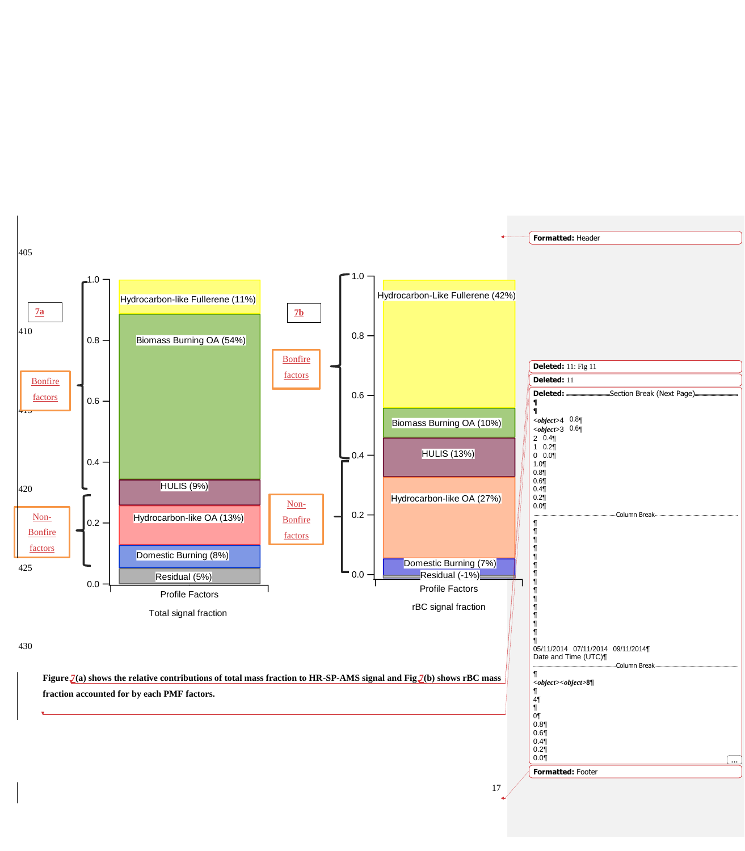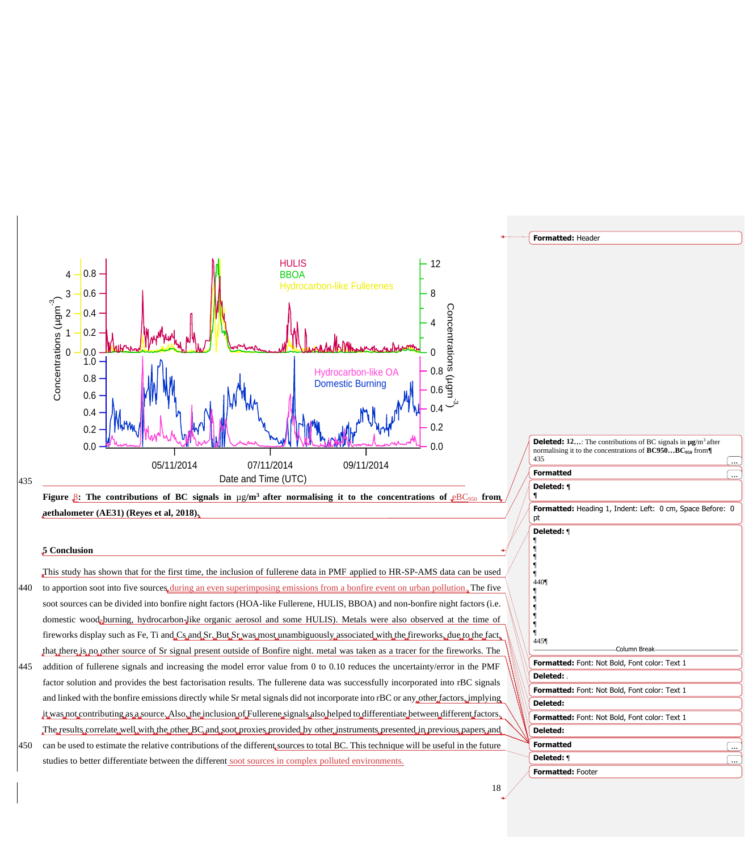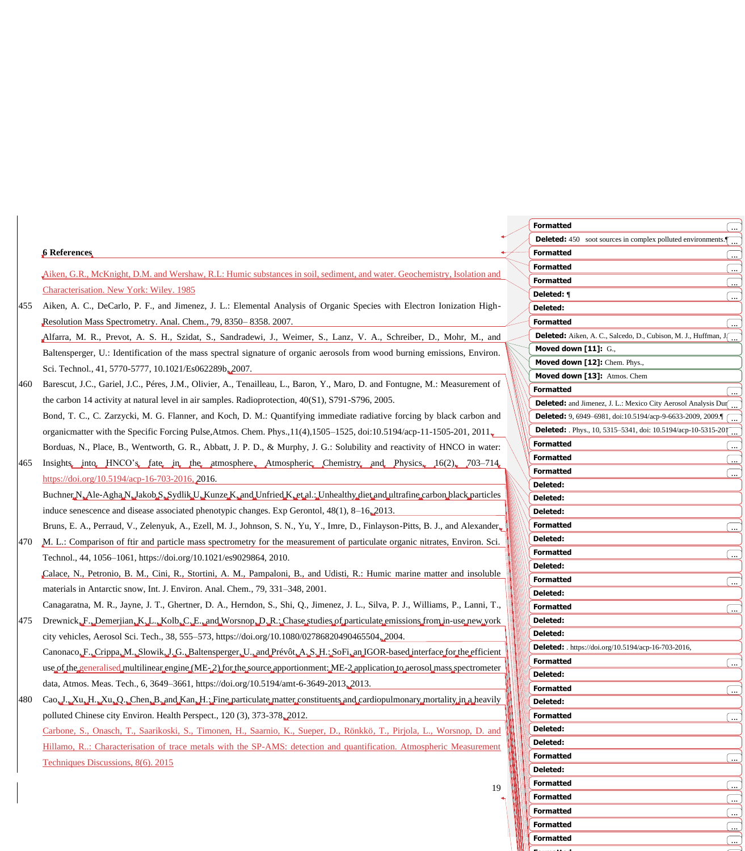|     |                                                                                                                                      | <b>Formatted</b>                                                                                          | 〔…〕            |
|-----|--------------------------------------------------------------------------------------------------------------------------------------|-----------------------------------------------------------------------------------------------------------|----------------|
|     |                                                                                                                                      | <b>Deleted:</b> 450 soot sources in complex polluted environments. $\begin{bmatrix} \ldots \end{bmatrix}$ |                |
|     | 6 References                                                                                                                         | <b>Formatted</b>                                                                                          |                |
|     | Aiken, G.R., McKnight, D.M. and Wershaw, R.L: Humic substances in soil, sediment, and water. Geochemistry, Isolation and             | <b>Formatted</b>                                                                                          | 〔…             |
|     |                                                                                                                                      | <b>Formatted</b>                                                                                          | ()             |
|     | Characterisation. New York: Wiley. 1985                                                                                              | Deleted: ¶                                                                                                | 〔…             |
| 455 | Aiken, A. C., DeCarlo, P. F., and Jimenez, J. L.: Elemental Analysis of Organic Species with Electron Ionization High-               | Deleted:                                                                                                  |                |
|     | Resolution Mass Spectrometry. Anal. Chem., 79, 8350-8358. 2007.                                                                      | <b>Formatted</b>                                                                                          | 〔…             |
|     | Alfarra, M. R., Prevot, A. S. H., Szidat, S., Sandradewi, J., Weimer, S., Lanz, V. A., Schreiber, D., Mohr, M., and                  | Deleted: Aiken, A. C., Salcedo, D., Cubison, M. J., Huffman, J.                                           |                |
|     | Baltensperger, U.: Identification of the mass spectral signature of organic aerosols from wood burning emissions, Environ.           | Moved down [11]: G.,                                                                                      |                |
|     | Sci. Technol., 41, 5770-5777, 10.1021/Es062289b, 2007.                                                                               | Moved down [12]: Chem. Phys.,                                                                             |                |
| 460 | Barescut, J.C., Gariel, J.C., Péres, J.M., Olivier, A., Tenailleau, L., Baron, Y., Maro, D. and Fontugne, M.: Measurement of         | Moved down [13]: Atmos. Chem<br><b>Formatted</b>                                                          |                |
|     | the carbon 14 activity at natural level in air samples. Radioprotection, $40(S1)$ , $S791-S796$ , $2005$ .                           | <b>Deleted:</b> and Jimenez, J. L.: Mexico City Aerosol Analysis Dur                                      |                |
|     | Bond, T. C., C. Zarzycki, M. G. Flanner, and Koch, D. M.: Quantifying immediate radiative forcing by black carbon and                | <b>Deleted:</b> 9, 6949-6981, doi:10.5194/acp-9-6633-2009, 2009.                                          |                |
|     | organicmatter with the Specific Forcing Pulse, Atmos. Chem. Phys., $11(4)$ , $1505-1525$ , doi: $10.5194$ /acp-11-1505-201, $2011$   | <b>Deleted:</b> Phys., 10, 5315-5341, doi: 10.5194/acp-10-5315-201                                        |                |
|     | Borduas, N., Place, B., Wentworth, G. R., Abbatt, J. P. D., & Murphy, J. G.: Solubility and reactivity of HNCO in water:             | <b>Formatted</b>                                                                                          |                |
|     |                                                                                                                                      | <b>Formatted</b>                                                                                          | 〔…             |
| 465 | Insights into HNCO's fate in the atmosphere Atmospheric Chemistry and Physics 16(2) 703-714                                          | <b>Formatted</b>                                                                                          |                |
|     | https://doi.org/10.5194/acp-16-703-2016, 2016.                                                                                       | <b>Deleted:</b>                                                                                           |                |
|     | Buchner N, Ale-Agha N, Jakob S, Sydlik U, Kunze K, and Unfried K, et al. Unhealthy diet and ultrafine carbon black particles         | Deleted:                                                                                                  |                |
|     | induce senescence and disease associated phenotypic changes. Exp Gerontol, 48(1), 8-16, 2013.                                        | <b>Deleted:</b>                                                                                           |                |
|     | Bruns, E. A., Perraud, V., Zelenyuk, A., Ezell, M. J., Johnson, S. N., Yu, Y., Imre, D., Finlayson-Pitts, B. J., and Alexander,      | <b>Formatted</b>                                                                                          | 〔…             |
| 470 | M. L.: Comparison of ftir and particle mass spectrometry for the measurement of particulate organic nitrates, Environ. Sci.          | Deleted:                                                                                                  |                |
|     | Technol., 44, 1056-1061, https://doi.org/10.1021/es9029864, 2010.                                                                    | <b>Formatted</b>                                                                                          | l              |
|     | Calace, N., Petronio, B. M., Cini, R., Stortini, A. M., Pampaloni, B., and Udisti, R.: Humic marine matter and insoluble             | Deleted:                                                                                                  |                |
|     | materials in Antarctic snow, Int. J. Environ. Anal. Chem., 79, 331-348, 2001.                                                        | <b>Formatted</b>                                                                                          | 〔…〕            |
|     | Canagaratna, M. R., Jayne, J. T., Ghertner, D. A., Herndon, S., Shi, Q., Jimenez, J. L., Silva, P. J., Williams, P., Lanni, T.,      | Deleted:                                                                                                  |                |
|     |                                                                                                                                      | <b>Formatted</b><br>Deleted:                                                                              | 〔…〕            |
|     | 475 Drewnick, F., Demeriian, K. L., Kolb, C. E., and Worsnop, D. R.; Chase studies of particulate emissions from in-use new york     | Deleted:                                                                                                  |                |
|     | city vehicles, Aerosol Sci. Tech., 38, 555–573, https://doi.org/10.1080/02786820490465504, 2004.                                     | <b>Deleted:</b> . https://doi.org/10.5194/acp-16-703-2016,                                                |                |
|     | Canonaco, F., Crippa, M., Slowik, J. G., Baltensperger, U., and Prévôt, A., S., H.; SoFi, an, JGOR-based interface for the efficient | <b>Formatted</b>                                                                                          | (  )           |
|     | use of the generalised multilinear engine. (ME-2) for the source apportionment. ME-2 application to aerosol mass spectrometer        | <b>Deleted:</b>                                                                                           |                |
|     | data, Atmos. Meas. Tech., 6, 3649-3661, https://doi.org/10.5194/amt-6-3649-2013, 2013.                                               | <b>Formatted</b>                                                                                          | 〔…             |
| 480 | Cao, J., Xu, H., Xu, Q., Chen, B., and Kan, H.; Fine particulate matter constituents and cardiopulmonary mortality in a heavily      | Deleted:                                                                                                  |                |
|     | polluted Chinese city Environ. Health Perspect., 120 (3), 373-378, 2012.                                                             | <b>Formatted</b>                                                                                          | 〔…             |
|     | Carbone, S., Onasch, T., Saarikoski, S., Timonen, H., Saarnio, K., Sueper, D., Rönkkö, T., Pirjola, L., Worsnop, D. and              | Deleted:                                                                                                  |                |
|     | Hillamo, R: Characterisation of trace metals with the SP-AMS: detection and quantification. Atmospheric Measurement                  | <b>Deleted:</b>                                                                                           |                |
|     | Techniques Discussions, 8(6). 2015                                                                                                   | <b>Formatted</b>                                                                                          | 〔…〕            |
|     |                                                                                                                                      | Deleted:                                                                                                  |                |
|     | 19                                                                                                                                   | <b>Formatted</b>                                                                                          | 〔…             |
|     |                                                                                                                                      | <b>Formatted</b>                                                                                          | ( <sup>-</sup> |

**Formatted** ...

**Formatted** ...

**Formatted** ...

**Formatted**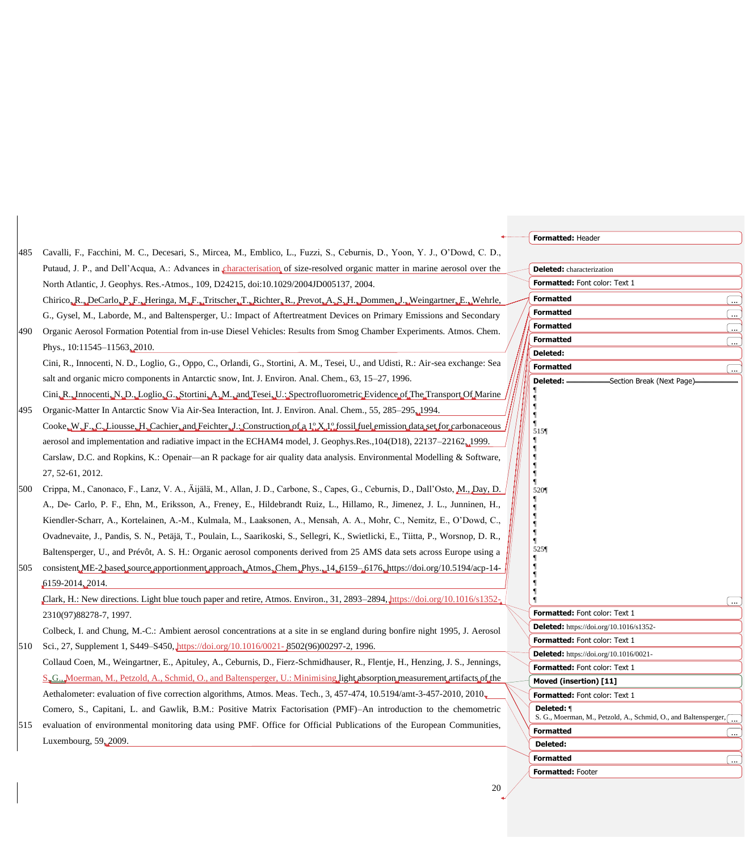|     |                                                                                                                                                                  | Formatted: Header                                                               |            |
|-----|------------------------------------------------------------------------------------------------------------------------------------------------------------------|---------------------------------------------------------------------------------|------------|
| 485 | Cavalli, F., Facchini, M. C., Decesari, S., Mircea, M., Emblico, L., Fuzzi, S., Ceburnis, D., Yoon, Y. J., O'Dowd, C. D.,                                        |                                                                                 |            |
|     | Putaud, J. P., and Dell'Acqua, A.: Advances in characterisation of size-resolved organic matter in marine aerosol over the                                       | <b>Deleted:</b> characterization                                                |            |
|     | North Atlantic, J. Geophys. Res.-Atmos., 109, D24215, doi:10.1029/2004JD005137, 2004.                                                                            | Formatted: Font color: Text 1                                                   |            |
|     | Chirico, R., DeCarlo, P.F., Heringa, M.F., Tritscher, T., Richter, R., Prevot, A.S. H., Dommen, J., Weingartner, E., Wehrle,                                     | <b>Formatted</b>                                                                | 〔…         |
|     | G., Gysel, M., Laborde, M., and Baltensperger, U.: Impact of Aftertreatment Devices on Primary Emissions and Secondary                                           | <b>Formatted</b>                                                                | $\boxed{}$ |
| 490 | Organic Aerosol Formation Potential from in-use Diesel Vehicles: Results from Smog Chamber Experiments. Atmos. Chem.                                             | <b>Formatted</b>                                                                | 〔…         |
|     | Phys., 10:11545-11563, 2010.                                                                                                                                     | <b>Formatted</b><br>Deleted:                                                    | l          |
|     | Cini, R., Innocenti, N. D., Loglio, G., Oppo, C., Orlandi, G., Stortini, A. M., Tesei, U., and Udisti, R.: Air-sea exchange: Sea                                 | <b>Formatted</b>                                                                | .          |
|     | salt and organic micro components in Antarctic snow, Int. J. Environ. Anal. Chem., 63, 15–27, 1996.                                                              | Section Break (Next Page)<br>Deleted:                                           |            |
|     | Cini, R., Innocenti, N., D., Loglio, G., Stortini, A., M., and Tesei, U.; Spectrofluorometric Evidence of The Transport Of Marine                                |                                                                                 |            |
| 495 | Organic-Matter In Antarctic Snow Via Air-Sea Interaction, Int. J. Environ. Anal. Chem., 55, 285–295, 1994.                                                       |                                                                                 |            |
|     | $\text{Cooke}_w W_u F_u C_u$ Liousse, H., Cachier, and Feichter, J.: Construction of a $1^{\circ}$ X, $1^{\circ}$ fossil fuel emission data set for carbonaceous | 515¶                                                                            |            |
|     | aerosol and implementation and radiative impact in the ECHAM4 model, J. Geophys.Res.,104(D18), 22137–22162, 1999.                                                |                                                                                 |            |
|     | Carslaw, D.C. and Ropkins, K.: Openair—an R package for air quality data analysis. Environmental Modelling & Software,                                           |                                                                                 |            |
|     | 27, 52-61, 2012.                                                                                                                                                 |                                                                                 |            |
| 500 | Crippa, M., Canonaco, F., Lanz, V. A., Aijälä, M., Allan, J. D., Carbone, S., Capes, G., Ceburnis, D., Dall'Osto, M., Day, D.                                    | 5201                                                                            |            |
|     | A., De- Carlo, P. F., Ehn, M., Eriksson, A., Freney, E., Hildebrandt Ruiz, L., Hillamo, R., Jimenez, J. L., Junninen, H.,                                        |                                                                                 |            |
|     | Kiendler-Scharr, A., Kortelainen, A.-M., Kulmala, M., Laaksonen, A., Mensah, A. A., Mohr, C., Nemitz, E., O'Dowd, C.,                                            |                                                                                 |            |
|     | Ovadnevaite, J., Pandis, S. N., Petäjä, T., Poulain, L., Saarikoski, S., Sellegri, K., Swietlicki, E., Tiitta, P., Worsnop, D. R.,                               |                                                                                 |            |
|     | Baltensperger, U., and Prévôt, A. S. H.: Organic aerosol components derived from 25 AMS data sets across Europe using a                                          | 525¶                                                                            |            |
| 505 | consistent ME-2 based source apportionment approach. Atmos. Chem. Phys., 14, 6159-6176, https://doi.org/10.5194/acp-14-                                          |                                                                                 |            |
|     | 6159-2014, 2014.                                                                                                                                                 |                                                                                 |            |
|     | Clark, H.: New directions. Light blue touch paper and retire, Atmos. Environ., 31, 2893–2894, https://doi.org/10.1016/s1352–                                     |                                                                                 |            |
|     | 2310(97)88278-7, 1997.                                                                                                                                           | Formatted: Font color: Text 1                                                   |            |
|     | Colbeck, I. and Chung, M.-C.: Ambient aerosol concentrations at a site in se england during bonfire night 1995, J. Aerosol                                       | <b>Deleted:</b> https://doi.org/10.1016/s1352-                                  |            |
| 510 | Sci., 27, Supplement 1, S449–S450, https://doi.org/10.1016/0021-8502(96)00297-2, 1996.                                                                           | Formatted: Font color: Text 1                                                   |            |
|     | Collaud Coen, M., Weingartner, E., Apituley, A., Ceburnis, D., Fierz-Schmidhauser, R., Flentje, H., Henzing, J. S., Jennings,                                    | <b>Deleted:</b> https://doi.org/10.1016/0021-<br>Formatted: Font color: Text 1  |            |
|     | $S_{\bullet}G_{\bullet}$ Moerman, M., Petzold, A., Schmid, O., and Baltensperger, U.: Minimising light absorption measurement artifacts of the                   | Moved (insertion) [11]                                                          |            |
|     | Aethalometer: evaluation of five correction algorithms, Atmos. Meas. Tech., 3, 457-474, 10.5194/amt-3-457-2010, 2010                                             | Formatted: Font color: Text 1                                                   |            |
|     | Comero, S., Capitani, L. and Gawlik, B.M.: Positive Matrix Factorisation (PMF)–An introduction to the chemometric                                                | Deleted: 1<br>S. G., Moerman, M., Petzold, A., Schmid, O., and Baltensperger, [ |            |
| 515 | evaluation of environmental monitoring data using PMF. Office for Official Publications of the European Communities,                                             | <b>Formatted</b>                                                                |            |
|     | Luxembourg, 59, 2009.                                                                                                                                            | Deleted:                                                                        |            |
|     |                                                                                                                                                                  | <b>Formatted</b>                                                                |            |

**Formatted:** Footer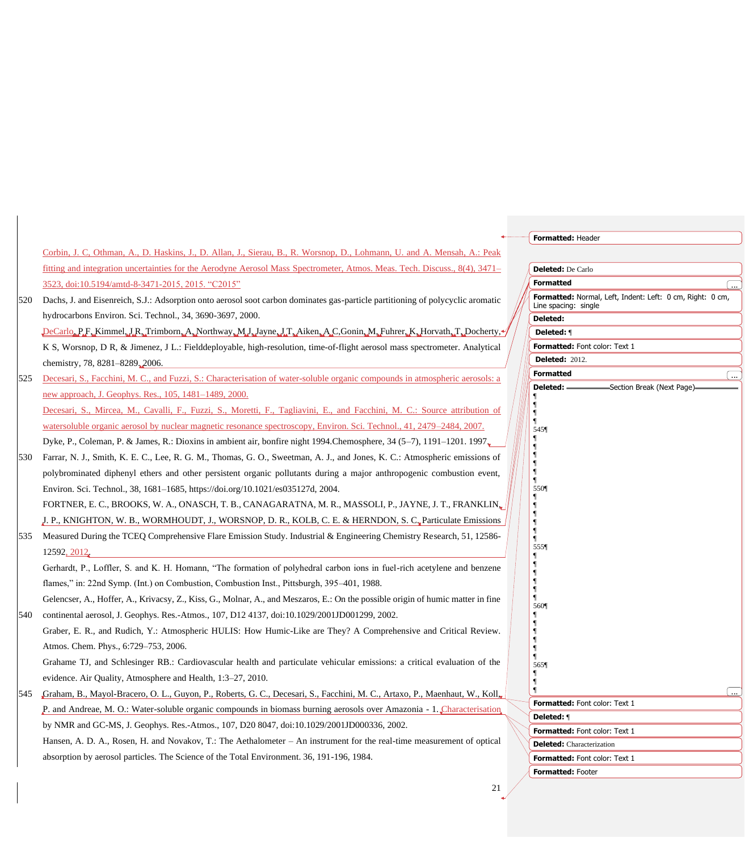|     |                                                                                                                                   | Formatted: Header                                                                 |
|-----|-----------------------------------------------------------------------------------------------------------------------------------|-----------------------------------------------------------------------------------|
|     | Corbin, J. C, Othman, A., D. Haskins, J., D. Allan, J., Sierau, B., R. Worsnop, D., Lohmann, U. and A. Mensah, A.: Peak           |                                                                                   |
|     | fitting and integration uncertainties for the Aerodyne Aerosol Mass Spectrometer, Atmos. Meas. Tech. Discuss., 8(4), 3471–        | <b>Deleted:</b> De Carlo                                                          |
|     | 3523, doi:10.5194/amtd-8-3471-2015, 2015. "C2015"                                                                                 | <b>Formatted</b>                                                                  |
| 520 | Dachs, J. and Eisenreich, S.J.: Adsorption onto aerosol soot carbon dominates gas-particle partitioning of polycyclic aromatic    | Formatted: Normal, Left, Indent: Left: 0 cm, Right: 0 cm,<br>Line spacing: single |
|     | hydrocarbons Environ. Sci. Technol., 34, 3690-3697, 2000.                                                                         | <b>Deleted:</b>                                                                   |
|     | DeCarlo, P.F., Kimmel, J.R., Trimborn, A., Northway, M.J., Jayne, J.T., Aiken, A.C. Gonin, M., Fuhrer, K., Horvath, T., Docherty, | Deleted: ¶                                                                        |
|     | K S, Worsnop, D R, & Jimenez, J L.: Fielddeployable, high-resolution, time-of-flight aerosol mass spectrometer. Analytical        | Formatted: Font color: Text 1                                                     |
|     | chemistry, 78, 8281-8289, 2006.                                                                                                   | <b>Deleted: 2012.</b>                                                             |
| 525 | Decesari, S., Facchini, M. C., and Fuzzi, S.: Characterisation of water-soluble organic compounds in atmospheric aerosols: a      | <b>Formatted</b>                                                                  |
|     | new approach, J. Geophys. Res., 105, 1481-1489, 2000.                                                                             |                                                                                   |
|     | Decesari, S., Mircea, M., Cavalli, F., Fuzzi, S., Moretti, F., Tagliavini, E., and Facchini, M. C.: Source attribution of         |                                                                                   |
|     | watersoluble organic aerosol by nuclear magnetic resonance spectroscopy, Environ. Sci. Technol., 41, 2479–2484, 2007.             | 545¶                                                                              |
|     | Dyke, P., Coleman, P. & James, R.: Dioxins in ambient air, bonfire night 1994.Chemosphere, 34 (5–7), 1191–1201. 1997              |                                                                                   |
| 530 | Farrar, N. J., Smith, K. E. C., Lee, R. G. M., Thomas, G. O., Sweetman, A. J., and Jones, K. C.: Atmospheric emissions of         |                                                                                   |
|     | polybrominated diphenyl ethers and other persistent organic pollutants during a major anthropogenic combustion event,             |                                                                                   |
|     | Environ. Sci. Technol., 38, 1681-1685, https://doi.org/10.1021/es035127d, 2004.                                                   | 550¶                                                                              |
|     | FORTNER, E. C., BROOKS, W. A., ONASCH, T. B., CANAGARATNA, M. R., MASSOLI, P., JAYNE, J. T., FRANKLIN,                            |                                                                                   |
|     | J. P., KNIGHTON, W. B., WORMHOUDT, J., WORSNOP, D. R., KOLB, C. E. & HERNDON, S. C. Particulate Emissions                         |                                                                                   |
| 535 | Measured During the TCEQ Comprehensive Flare Emission Study. Industrial & Engineering Chemistry Research, 51, 12586-              |                                                                                   |
|     | 12592, 2012.                                                                                                                      | 555¶                                                                              |
|     | Gerhardt, P., Loffler, S. and K. H. Homann, "The formation of polyhedral carbon ions in fuel-rich acetylene and benzene           |                                                                                   |
|     | flames," in: 22nd Symp. (Int.) on Combustion, Combustion Inst., Pittsburgh, 395–401, 1988.                                        |                                                                                   |
|     | Gelencser, A., Hoffer, A., Krivacsy, Z., Kiss, G., Molnar, A., and Meszaros, E.: On the possible origin of humic matter in fine   |                                                                                   |
| 540 | continental aerosol, J. Geophys. Res.-Atmos., 107, D12 4137, doi:10.1029/2001JD001299, 2002.                                      | 5601                                                                              |
|     | Graber, E. R., and Rudich, Y.: Atmospheric HULIS: How Humic-Like are They? A Comprehensive and Critical Review.                   |                                                                                   |
|     | Atmos. Chem. Phys., 6:729-753, 2006.                                                                                              |                                                                                   |
|     | Grahame TJ, and Schlesinger RB.: Cardiovascular health and particulate vehicular emissions: a critical evaluation of the          | 565¶                                                                              |
|     | evidence. Air Quality, Atmosphere and Health, 1:3-27, 2010.                                                                       |                                                                                   |
| 545 | Graham, B., Mayol-Bracero, O. L., Guyon, P., Roberts, G. C., Decesari, S., Facchini, M. C., Artaxo, P., Maenhaut, W., Koll        | .                                                                                 |
|     | P. and Andreae, M. O.: Water-soluble organic compounds in biomass burning aerosols over Amazonia - 1. Characterisation            | Formatted: Font color: Text 1                                                     |
|     | by NMR and GC-MS, J. Geophys. Res.-Atmos., 107, D20 8047, doi:10.1029/2001JD000336, 2002.                                         | Deleted: ¶                                                                        |
|     | Hansen, A. D. A., Rosen, H. and Novakov, T.: The Aethalometer – An instrument for the real-time measurement of optical            | Formatted: Font color: Text 1<br><b>Deleted:</b> Characterization                 |
|     | absorption by aerosol particles. The Science of the Total Environment. 36, 191-196, 1984.                                         | Formatted: Font color: Text 1                                                     |
|     |                                                                                                                                   | <b>Formatted: Footer</b>                                                          |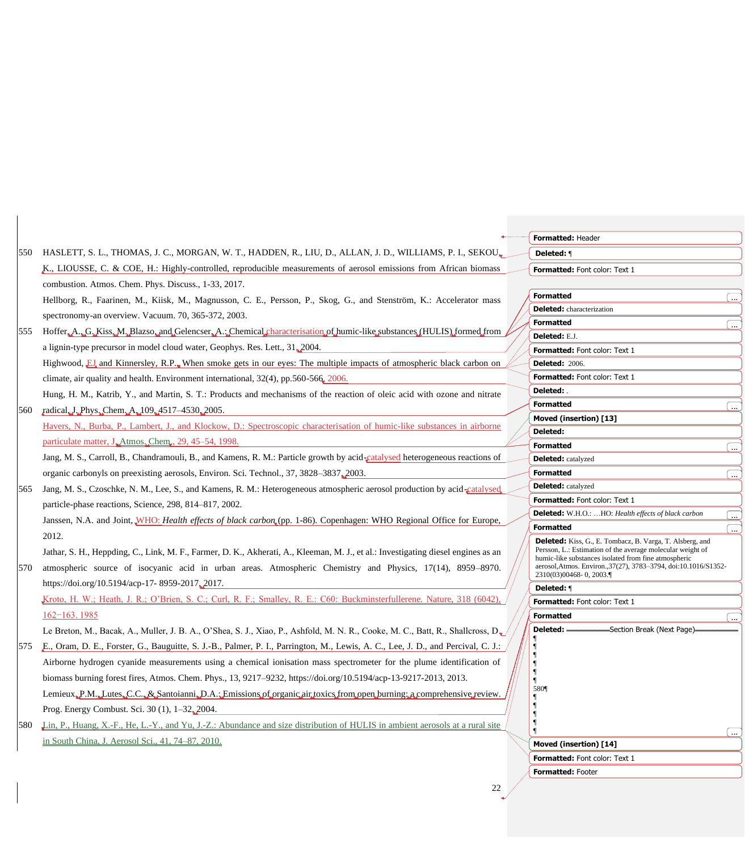|     |                                                                                                                                                                                                                                                 | Formatted: Header                                                                                                                                                                                                                                                                  |                          |
|-----|-------------------------------------------------------------------------------------------------------------------------------------------------------------------------------------------------------------------------------------------------|------------------------------------------------------------------------------------------------------------------------------------------------------------------------------------------------------------------------------------------------------------------------------------|--------------------------|
| 550 | HASLETT, S. L., THOMAS, J. C., MORGAN, W. T., HADDEN, R., LIU, D., ALLAN, J. D., WILLIAMS, P. I., SEKOU.                                                                                                                                        | Deleted: 1                                                                                                                                                                                                                                                                         |                          |
|     | K., LIOUSSE, C. & COE, H.: Highly-controlled, reproducible measurements of aerosol emissions from African biomass                                                                                                                               | Formatted: Font color: Text 1                                                                                                                                                                                                                                                      |                          |
|     | combustion. Atmos. Chem. Phys. Discuss., 1-33, 2017.                                                                                                                                                                                            |                                                                                                                                                                                                                                                                                    |                          |
|     | Hellborg, R., Faarinen, M., Kiisk, M., Magnusson, C. E., Persson, P., Skog, G., and Stenström, K.: Accelerator mass                                                                                                                             | <b>Formatted</b>                                                                                                                                                                                                                                                                   |                          |
|     | spectronomy-an overview. Vacuum. 70, 365-372, 2003.                                                                                                                                                                                             | <b>Deleted:</b> characterization                                                                                                                                                                                                                                                   |                          |
| 555 | Hoffer A. G. Kiss M. Blazso, and Gelencser A.: Chemical characterisation of humic-like substances (HULIS) formed from                                                                                                                           | <b>Formatted</b>                                                                                                                                                                                                                                                                   |                          |
|     | a lignin-type precursor in model cloud water, Geophys. Res. Lett., 31, 2004.                                                                                                                                                                    | Deleted: E.J.                                                                                                                                                                                                                                                                      |                          |
|     |                                                                                                                                                                                                                                                 | Formatted: Font color: Text 1                                                                                                                                                                                                                                                      |                          |
|     | Highwood, EJ and Kinnersley, R.P., When smoke gets in our eyes: The multiple impacts of atmospheric black carbon on                                                                                                                             | <b>Deleted: 2006.</b>                                                                                                                                                                                                                                                              |                          |
|     | climate, air quality and health. Environment international, $32(4)$ , pp.560-566, 2006.                                                                                                                                                         | <b>Formatted:</b> Font color: Text 1<br>Deleted: .                                                                                                                                                                                                                                 |                          |
|     | Hung, H. M., Katrib, Y., and Martin, S. T.: Products and mechanisms of the reaction of oleic acid with ozone and nitrate                                                                                                                        | <b>Formatted</b>                                                                                                                                                                                                                                                                   |                          |
| 560 | radical, J. Phys. Chem. A., 109, 4517-4530, 2005.                                                                                                                                                                                               | Moved (insertion) [13]                                                                                                                                                                                                                                                             | $\cdots$                 |
|     | Havers, N., Burba, P., Lambert, J., and Klockow, D.: Spectroscopic characterisation of humic-like substances in airborne                                                                                                                        | <b>Deleted:</b>                                                                                                                                                                                                                                                                    |                          |
|     | particulate matter, J. Atmos. Chem., 29, 45–54, 1998.                                                                                                                                                                                           | <b>Formatted</b>                                                                                                                                                                                                                                                                   | $\ddotsc$                |
|     | Jang, M. S., Carroll, B., Chandramouli, B., and Kamens, R. M.: Particle growth by acid-catalysed heterogeneous reactions of                                                                                                                     | <b>Deleted:</b> catalyzed                                                                                                                                                                                                                                                          |                          |
|     | organic carbonyls on preexisting aerosols, Environ. Sci. Technol., 37, 3828–3837, 2003.                                                                                                                                                         | <b>Formatted</b>                                                                                                                                                                                                                                                                   |                          |
| 565 | Jang, M. S., Czoschke, N. M., Lee, S., and Kamens, R. M.: Heterogeneous atmospheric aerosol production by acid-catalysed                                                                                                                        | <b>Deleted:</b> catalyzed                                                                                                                                                                                                                                                          |                          |
|     | particle-phase reactions, Science, 298, 814–817, 2002.                                                                                                                                                                                          | Formatted: Font color: Text 1                                                                                                                                                                                                                                                      |                          |
|     | Janssen, N.A. and Joint, WHO: Health effects of black carbon (pp. 1-86). Copenhagen: WHO Regional Office for Europe,                                                                                                                            | Deleted: W.H.O.: HO: Health effects of black carbon                                                                                                                                                                                                                                | $\cdots$                 |
|     | 2012.                                                                                                                                                                                                                                           | <b>Formatted</b>                                                                                                                                                                                                                                                                   | $\overline{\phantom{a}}$ |
| 570 | Jathar, S. H., Heppding, C., Link, M. F., Farmer, D. K., Akherati, A., Kleeman, M. J., et al.: Investigating diesel engines as an<br>atmospheric source of isocyanic acid in urban areas. Atmospheric Chemistry and Physics, 17(14), 8959–8970. | <b>Deleted:</b> Kiss, G., E. Tombacz, B. Varga, T. Alsberg, and<br>Persson, L.: Estimation of the average molecular weight of<br>humic-like substances isolated from fine atmospheric<br>aerosol, Atmos. Environ., 37(27), 3783-3794, doi:10.1016/S1352-<br>2310(03)00468-0, 2003. |                          |
|     | https://doi.org/10.5194/acp-17-8959-2017, 2017.                                                                                                                                                                                                 | Deleted: 1                                                                                                                                                                                                                                                                         |                          |
|     | Kroto, H. W.; Heath, J. R.; O'Brien, S. C.; Curl, R. F.; Smalley, R. E.: C60: Buckminsterfullerene. Nature, 318 (6042).                                                                                                                         | Formatted: Font color: Text 1                                                                                                                                                                                                                                                      |                          |
|     | $162 - 163.1985$                                                                                                                                                                                                                                | <b>Formatted</b>                                                                                                                                                                                                                                                                   |                          |
|     | Le Breton, M., Bacak, A., Muller, J. B. A., O'Shea, S. J., Xiao, P., Ashfold, M. N. R., Cooke, M. C., Batt, R., Shallcross, D.                                                                                                                  | Deleted: .<br>- Section Break (Next Page) -                                                                                                                                                                                                                                        |                          |
| 575 | E., Oram, D. E., Forster, G., Bauguitte, S. J.-B., Palmer, P. I., Parrington, M., Lewis, A. C., Lee, J. D., and Percival, C. J.:                                                                                                                |                                                                                                                                                                                                                                                                                    |                          |
|     | Airborne hydrogen cyanide measurements using a chemical ionisation mass spectrometer for the plume identification of                                                                                                                            |                                                                                                                                                                                                                                                                                    |                          |
|     | biomass burning forest fires, Atmos. Chem. Phys., 13, 9217–9232, https://doi.org/10.5194/acp-13-9217-2013, 2013.                                                                                                                                |                                                                                                                                                                                                                                                                                    |                          |
|     | Lemieux, P.M., Lutes, C.C., & Santoianni, D.A.; Emissions of organic air toxics from open burning; a comprehensive review.                                                                                                                      | 5801                                                                                                                                                                                                                                                                               |                          |
|     | Prog. Energy Combust. Sci. 30 (1), 1-32, 2004.                                                                                                                                                                                                  |                                                                                                                                                                                                                                                                                    |                          |
| 580 | Lin, P., Huang, X.-F., He, L.-Y., and Yu, J.-Z.: Abundance and size distribution of HULIS in ambient aerosols at a rural site                                                                                                                   |                                                                                                                                                                                                                                                                                    |                          |
|     | in South China, J. Aerosol Sci., 41, 74-87, 2010.                                                                                                                                                                                               | Moved (insertion) [14]                                                                                                                                                                                                                                                             |                          |
|     |                                                                                                                                                                                                                                                 | Formatted: Font color: Text 1                                                                                                                                                                                                                                                      |                          |
|     |                                                                                                                                                                                                                                                 | Formatted: Footer                                                                                                                                                                                                                                                                  |                          |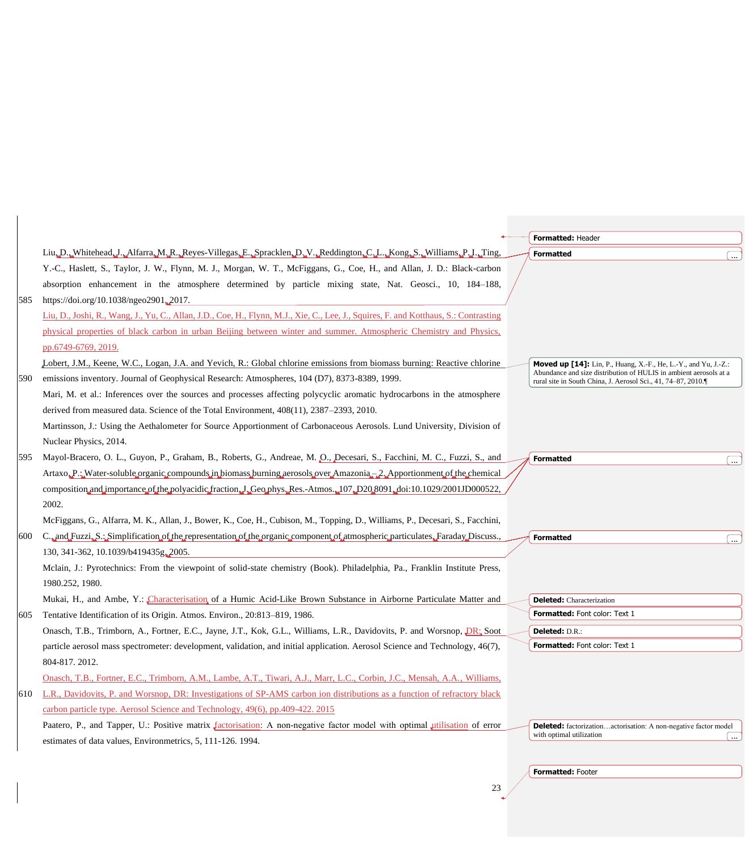|     |                                                                                                                                       | Formatted: Header                                                                                                                 |
|-----|---------------------------------------------------------------------------------------------------------------------------------------|-----------------------------------------------------------------------------------------------------------------------------------|
|     | Liu, D., Whitehead, J., Alfarra, M., R., Reyes-Villegas, E., Spracklen, D., V., Reddington, C., L., Kong, S., Williams, P., I., Ting, | <b>Formatted</b>                                                                                                                  |
|     | Y.-C., Haslett, S., Taylor, J. W., Flynn, M. J., Morgan, W. T., McFiggans, G., Coe, H., and Allan, J. D.: Black-carbon                |                                                                                                                                   |
|     | absorption enhancement in the atmosphere determined by particle mixing state, Nat. Geosci., 10, 184–188,                              |                                                                                                                                   |
| 585 | https://doi.org/10.1038/ngeo2901, 2017.                                                                                               |                                                                                                                                   |
|     | Liu, D., Joshi, R., Wang, J., Yu, C., Allan, J.D., Coe, H., Flynn, M.J., Xie, C., Lee, J., Squires, F. and Kotthaus, S.: Contrasting  |                                                                                                                                   |
|     | physical properties of black carbon in urban Beijing between winter and summer. Atmospheric Chemistry and Physics,                    |                                                                                                                                   |
|     | pp.6749-6769, 2019.                                                                                                                   |                                                                                                                                   |
|     | Lobert, J.M., Keene, W.C., Logan, J.A. and Yevich, R.: Global chlorine emissions from biomass burning: Reactive chlorine              | <b>Moved up [14]:</b> Lin, P., Huang, X.-F., He, L.-Y., and Yu, J.-Z.:                                                            |
| 590 | emissions inventory. Journal of Geophysical Research: Atmospheres, 104 (D7), 8373-8389, 1999.                                         | Abundance and size distribution of HULIS in ambient aerosols at a<br>rural site in South China, J. Aerosol Sci., 41, 74-87, 2010. |
|     | Mari, M. et al.: Inferences over the sources and processes affecting polycyclic aromatic hydrocarbons in the atmosphere               |                                                                                                                                   |
|     | derived from measured data. Science of the Total Environment, 408(11), 2387–2393, 2010.                                               |                                                                                                                                   |
|     | Martinsson, J.: Using the Aethalometer for Source Apportionment of Carbonaceous Aerosols. Lund University, Division of                |                                                                                                                                   |
|     | Nuclear Physics, 2014.                                                                                                                |                                                                                                                                   |
| 595 | Mayol-Bracero, O. L., Guyon, P., Graham, B., Roberts, G., Andreae, M. O., Decesari, S., Facchini, M. C., Fuzzi, S., and               | <b>Formatted</b>                                                                                                                  |
|     | Artaxo. P.; Water-soluble organic compounds in biomass burning aerosols over Amazonia. 2. Apportionment of the chemical               |                                                                                                                                   |
|     | composition and importance of the polyacidic fraction J. Geo.phys. Res.-Atmos. 107, D20,8091, doi:10.1029/2001JD000522,               |                                                                                                                                   |
|     | 2002.                                                                                                                                 |                                                                                                                                   |
|     | McFiggans, G., Alfarra, M. K., Allan, J., Bower, K., Coe, H., Cubison, M., Topping, D., Williams, P., Decesari, S., Facchini,         |                                                                                                                                   |
| 600 | C., and Fuzzi, S.: Simplification of the representation of the organic component of atmospheric particulates, Faraday Discuss.        | <b>Formatted</b>                                                                                                                  |
|     | 130, 341-362, 10.1039/b419435g, 2005.                                                                                                 |                                                                                                                                   |
|     | Mclain, J.: Pyrotechnics: From the viewpoint of solid-state chemistry (Book). Philadelphia, Pa., Franklin Institute Press,            |                                                                                                                                   |
|     | 1980.252, 1980.                                                                                                                       |                                                                                                                                   |
|     | Mukai, H., and Ambe, Y.: Characterisation of a Humic Acid-Like Brown Substance in Airborne Particulate Matter and                     | <b>Deleted:</b> Characterization                                                                                                  |
| 605 | Tentative Identification of its Origin. Atmos. Environ., 20:813-819, 1986.                                                            | Formatted: Font color: Text 1                                                                                                     |
|     | Onasch, T.B., Trimborn, A., Fortner, E.C., Jayne, J.T., Kok, G.L., Williams, L.R., Davidovits, P. and Worsnop, DR. Soot               | Deleted: D.R.:                                                                                                                    |
|     | particle aerosol mass spectrometer: development, validation, and initial application. Aerosol Science and Technology, 46(7),          | Formatted: Font color: Text 1                                                                                                     |
|     | 804-817.2012.                                                                                                                         |                                                                                                                                   |
|     | Onasch, T.B., Fortner, E.C., Trimborn, A.M., Lambe, A.T., Tiwari, A.J., Marr, L.C., Corbin, J.C., Mensah, A.A., Williams,             |                                                                                                                                   |
| 610 | L.R., Davidovits, P. and Worsnop, DR: Investigations of SP-AMS carbon ion distributions as a function of refractory black             |                                                                                                                                   |
|     | carbon particle type. Aerosol Science and Technology, 49(6), pp.409-422. 2015                                                         |                                                                                                                                   |
|     | Paatero, P., and Tapper, U.: Positive matrix factorisation: A non-negative factor model with optimal utilisation of error             | <b>Deleted:</b> factorizationactorisation: A non-negative factor model                                                            |
|     | estimates of data values, Environmetrics, 5, 111-126, 1994.                                                                           | with optimal utilization                                                                                                          |
|     |                                                                                                                                       |                                                                                                                                   |
|     |                                                                                                                                       | Formatted: Footer                                                                                                                 |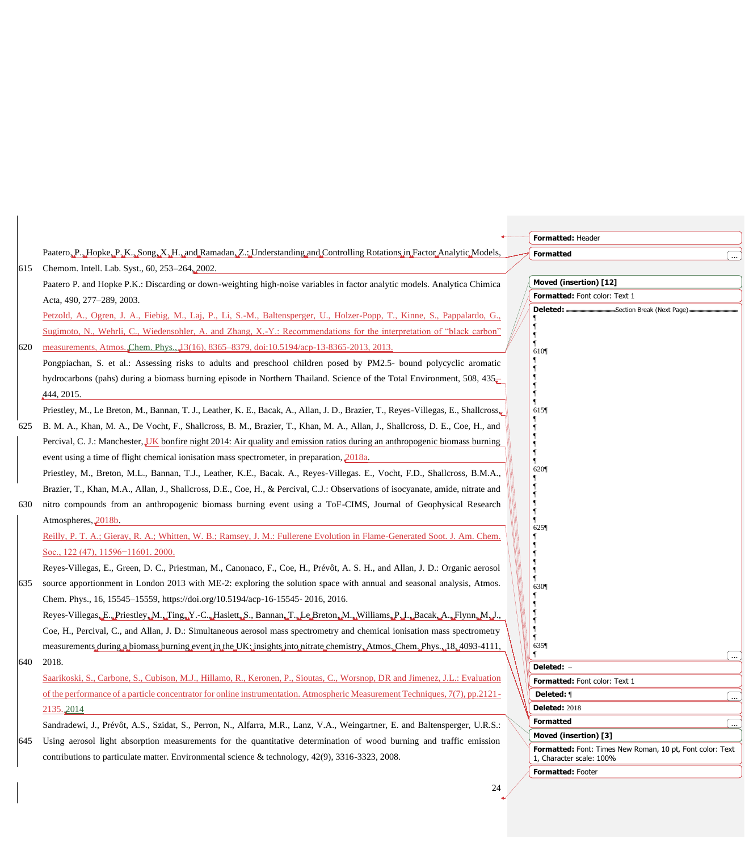|     |                                                                                                                                   | Formatted: Header                                                                  |                       |
|-----|-----------------------------------------------------------------------------------------------------------------------------------|------------------------------------------------------------------------------------|-----------------------|
|     | Paatero, P., Hopke, P., K., Song, X., H., and Ramadan, Z.: Understanding and Controlling Rotations in Factor Analytic Models,     | <b>Formatted</b>                                                                   |                       |
| 615 | Chemom. Intell. Lab. Syst., 60, 253-264, 2002.                                                                                    |                                                                                    |                       |
|     | Paatero P. and Hopke P.K.: Discarding or down-weighting high-noise variables in factor analytic models. Analytica Chimica         | Moved (insertion) [12]                                                             |                       |
|     | Acta, 490, 277-289, 2003.                                                                                                         | Formatted: Font color: Text 1                                                      |                       |
|     | Petzold, A., Ogren, J. A., Fiebig, M., Laj, P., Li, S.-M., Baltensperger, U., Holzer-Popp, T., Kinne, S., Pappalardo, G.,         |                                                                                    |                       |
|     | Sugimoto, N., Wehrli, C., Wiedensohler, A. and Zhang, X.-Y.: Recommendations for the interpretation of "black carbon"             |                                                                                    |                       |
| 620 | measurements, Atmos. Chem. Phys., 13(16), 8365-8379, doi:10.5194/acp-13-8365-2013, 2013.                                          | 610                                                                                |                       |
|     | Pongpiachan, S. et al.: Assessing risks to adults and preschool children posed by PM2.5- bound polycyclic aromatic                |                                                                                    |                       |
|     | hydrocarbons (pahs) during a biomass burning episode in Northern Thailand. Science of the Total Environment, 508, 435–            |                                                                                    |                       |
|     | 444, 2015.                                                                                                                        |                                                                                    |                       |
|     | Priestley, M., Le Breton, M., Bannan, T. J., Leather, K. E., Bacak, A., Allan, J. D., Brazier, T., Reyes-Villegas, E., Shallcross | 615¶                                                                               |                       |
| 625 | B. M. A., Khan, M. A., De Vocht, F., Shallcross, B. M., Brazier, T., Khan, M. A., Allan, J., Shallcross, D. E., Coe, H., and      |                                                                                    |                       |
|     | Percival, C. J.: Manchester, UK bonfire night 2014: Air quality and emission ratios during an anthropogenic biomass burning       |                                                                                    |                       |
|     | event using a time of flight chemical ionisation mass spectrometer, in preparation, 2018a.                                        |                                                                                    |                       |
|     | Priestley, M., Breton, M.L., Bannan, T.J., Leather, K.E., Bacak. A., Reyes-Villegas. E., Vocht, F.D., Shallcross, B.M.A.,         | 620                                                                                |                       |
|     | Brazier, T., Khan, M.A., Allan, J., Shallcross, D.E., Coe, H., & Percival, C.J.: Observations of isocyanate, amide, nitrate and   |                                                                                    |                       |
| 630 | nitro compounds from an anthropogenic biomass burning event using a ToF-CIMS, Journal of Geophysical Research                     |                                                                                    |                       |
|     | Atmospheres, 2018b                                                                                                                | 625                                                                                |                       |
|     | Reilly, P. T. A.; Gieray, R. A.; Whitten, W. B.; Ramsey, J. M.: Fullerene Evolution in Flame-Generated Soot. J. Am. Chem.         |                                                                                    |                       |
|     | Soc., 122 (47), 11596-11601. 2000.                                                                                                |                                                                                    |                       |
|     | Reyes-Villegas, E., Green, D. C., Priestman, M., Canonaco, F., Coe, H., Prévôt, A. S. H., and Allan, J. D.: Organic aerosol       |                                                                                    |                       |
| 635 | source apportionment in London 2013 with ME-2: exploring the solution space with annual and seasonal analysis, Atmos.             | 6301                                                                               |                       |
|     | Chem. Phys., 16, 15545–15559, https://doi.org/10.5194/acp-16-15545-2016, 2016.                                                    |                                                                                    |                       |
|     | Reyes-Villegas, E., Priestley, M., Ting, Y.-C., Haslett, S., Bannan, T., Le Breton, M., Williams, P.J., Bacak, A., Flynn, M.J.,   |                                                                                    |                       |
|     | Coe, H., Percival, C., and Allan, J. D.: Simultaneous aerosol mass spectrometry and chemical ionisation mass spectrometry         |                                                                                    |                       |
|     | measurements during a biomass burning event in the UK; insights into nitrate chemistry. Atmos. Chem. Phys., 18, 4093-4111,        | 635¶                                                                               |                       |
| 640 | 2018.                                                                                                                             | Deleted: -                                                                         |                       |
|     | Saarikoski, S., Carbone, S., Cubison, M.J., Hillamo, R., Keronen, P., Sioutas, C., Worsnop, DR and Jimenez, J.L.: Evaluation      | Formatted: Font color: Text 1                                                      |                       |
|     | of the performance of a particle concentrator for online instrumentation. Atmospheric Measurement Techniques, 7(7), pp.2121-      | Deleted: ¶                                                                         | $\left[\ldots\right]$ |
|     | 2135.2014                                                                                                                         | <b>Deleted: 2018</b>                                                               |                       |
|     | Sandradewi, J., Prévôt, A.S., Szidat, S., Perron, N., Alfarra, M.R., Lanz, V.A., Weingartner, E. and Baltensperger, U.R.S.:       | <b>Formatted</b>                                                                   | I                     |
| 645 | Using aerosol light absorption measurements for the quantitative determination of wood burning and traffic emission               | Moved (insertion) [3]<br>Formatted: Font: Times New Roman, 10 pt, Font color: Text |                       |
|     | contributions to particulate matter. Environmental science & technology, 42(9), 3316-3323, 2008.                                  | 1, Character scale: 100%                                                           |                       |
|     |                                                                                                                                   | Formatted: Footer                                                                  |                       |
|     | 24                                                                                                                                |                                                                                    |                       |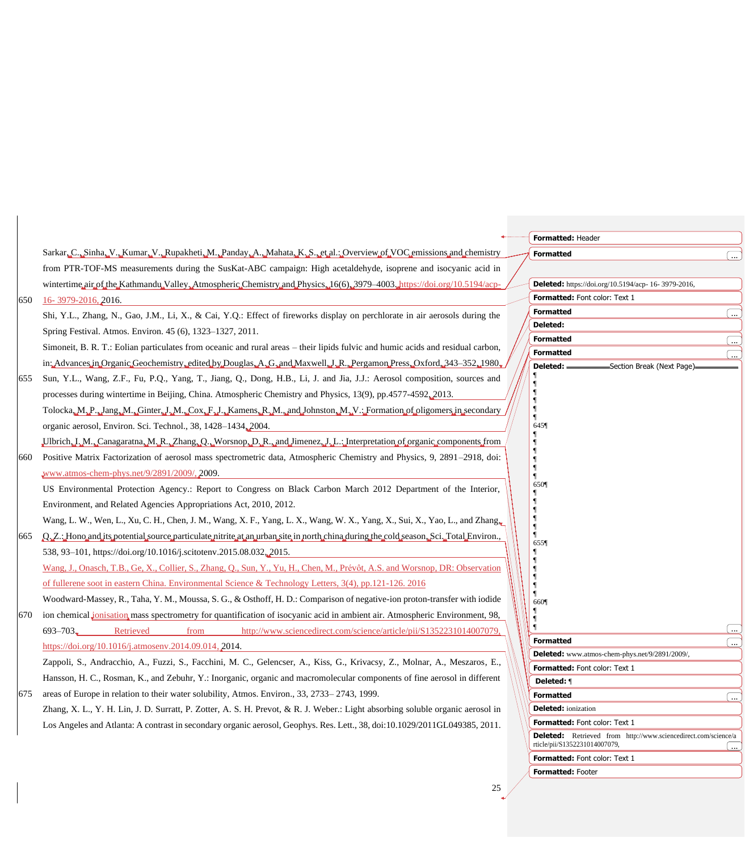|     |                                                                                                                                     | Formatted: Header                                                                                      |
|-----|-------------------------------------------------------------------------------------------------------------------------------------|--------------------------------------------------------------------------------------------------------|
|     | Sarkar, C., Sinha, V., Kumar, V., Rupakheti, M., Panday, A., Mahata, K., S., et al.: Overview of VOC emissions and chemistry        | <b>Formatted</b>                                                                                       |
|     | from PTR-TOF-MS measurements during the SusKat-ABC campaign: High acetaldehyde, isoprene and isocyanic acid in                      |                                                                                                        |
|     | wintertime.air.of.the.Kathmandu.Valley.,Atmospheric.Chemistry.and.Physics.,16(6), 3979-4003.,https://doi.org/10.5194/acp-           | Deleted: https://doi.org/10.5194/acp- 16-3979-2016,                                                    |
| 650 | 16-3979-2016, 2016.                                                                                                                 | Formatted: Font color: Text 1                                                                          |
|     | Shi, Y.L., Zhang, N., Gao, J.M., Li, X., & Cai, Y.Q.: Effect of fireworks display on perchlorate in air aerosols during the         | <b>Formatted</b><br>$\overline{\phantom{a}}$                                                           |
|     | Spring Festival. Atmos. Environ. 45 (6), 1323-1327, 2011.                                                                           | Deleted:                                                                                               |
|     | Simoneit, B. R. T.: Eolian particulates from oceanic and rural areas – their lipids fulvic and humic acids and residual carbon,     | <b>Formatted</b><br>l<br><b>Formatted</b>                                                              |
|     | in: Advances in Organic Geochemistry, edited by Douglas, A., G., and Maxwell, J., R., Pergamon Press, Oxford, 343-352, 1980,        | 〔…<br>Deleted:<br>Section Break (Next Page).                                                           |
| 655 | Sun, Y.L., Wang, Z.F., Fu, P.Q., Yang, T., Jiang, Q., Dong, H.B., Li, J. and Jia, J.J.: Aerosol composition, sources and            |                                                                                                        |
|     | processes during wintertime in Beijing, China. Atmospheric Chemistry and Physics, 13(9), pp.4577-4592, 2013.                        |                                                                                                        |
|     | Tolocka, M. P., Jang, M., Ginter, J., M., Cox, F., J., Kamens, R., M., and Johnston, M., V.; Formation of oligomers in secondary    |                                                                                                        |
|     | organic aerosol, Environ. Sci. Technol., 38, 1428-1434, 2004.                                                                       | 645¶                                                                                                   |
|     | "Ulbrich, J., M., Canagaratna, M., R., Zhang, Q., Worsnop, D., R., and Jimenez, J. L.; Interpretation of organic components, from   |                                                                                                        |
| 660 | Positive Matrix Factorization of aerosol mass spectrometric data, Atmospheric Chemistry and Physics, 9, 2891-2918, doi:             |                                                                                                        |
|     | www.atmos-chem-phys.net/9/2891/2009/, 2009.                                                                                         |                                                                                                        |
|     | US Environmental Protection Agency.: Report to Congress on Black Carbon March 2012 Department of the Interior,                      | 650¶                                                                                                   |
|     | Environment, and Related Agencies Appropriations Act, 2010, 2012.                                                                   |                                                                                                        |
|     | Wang, L. W., Wen, L., Xu, C. H., Chen, J. M., Wang, X. F., Yang, L. X., Wang, W. X., Yang, X., Sui, X., Yao, L., and Zhang          |                                                                                                        |
| 665 | Q.Z.: Hono and its potential source particulate nitrite at an urban site in north china during the cold season. Sci. Total Environ. |                                                                                                        |
|     | 538, 93-101, https://doi.org/10.1016/j.scitotenv.2015.08.032, 2015.                                                                 | 655                                                                                                    |
|     | Wang, J., Onasch, T.B., Ge, X., Collier, S., Zhang, Q., Sun, Y., Yu, H., Chen, M., Prévôt, A.S. and Worsnop, DR: Observation        |                                                                                                        |
|     | of fullerene soot in eastern China. Environmental Science & Technology Letters, 3(4), pp.121-126. 2016                              |                                                                                                        |
|     | Woodward-Massey, R., Taha, Y. M., Moussa, S. G., & Osthoff, H. D.: Comparison of negative-ion proton-transfer with iodide           | 660¶                                                                                                   |
| 670 | ion chemical <i>ionisation</i> mass spectrometry for quantification of isocyanic acid in ambient air. Atmospheric Environment, 98,  |                                                                                                        |
|     | $693 - 703$<br>Retrieved<br>http://www.sciencedirect.com/science/article/pii/S1352231014007079,<br>from                             |                                                                                                        |
|     | https://doi.org/10.1016/j.atmosenv.2014.09.014, 2014.                                                                               | <b>Formatted</b><br>[                                                                                  |
|     | Zappoli, S., Andracchio, A., Fuzzi, S., Facchini, M. C., Gelencser, A., Kiss, G., Krivacsy, Z., Molnar, A., Meszaros, E.,           | Deleted: www.atmos-chem-phys.net/9/2891/2009/,                                                         |
|     | Hansson, H. C., Rosman, K., and Zebuhr, Y.: Inorganic, organic and macromolecular components of fine aerosol in different           | Formatted: Font color: Text 1<br>Deleted: ¶                                                            |
| 675 | areas of Europe in relation to their water solubility, Atmos. Environ., 33, 2733–2743, 1999.                                        | <b>Formatted</b><br>$\ddotsc$                                                                          |
|     | Zhang, X. L., Y. H. Lin, J. D. Surratt, P. Zotter, A. S. H. Prevot, & R. J. Weber.: Light absorbing soluble organic aerosol in      | <b>Deleted:</b> ionization                                                                             |
|     | Los Angeles and Atlanta: A contrast in secondary organic aerosol, Geophys. Res. Lett., 38, doi:10.1029/2011GL049385, 2011.          | Formatted: Font color: Text 1                                                                          |
|     |                                                                                                                                     | <b>Deleted:</b> Retrieved from http://www.sciencedirect.com/science/a<br>rticle/pii/S1352231014007079, |
|     |                                                                                                                                     | Formatted: Font color: Text 1                                                                          |
|     |                                                                                                                                     | Formatted: Footer                                                                                      |